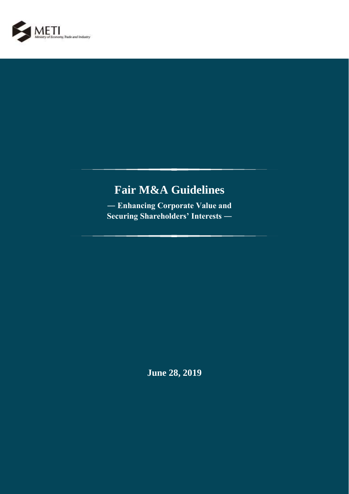

# **Fair M&A Guidelines**

**― Enhancing Corporate Value and Securing Shareholders' Interests ―**

**June 28, 2019**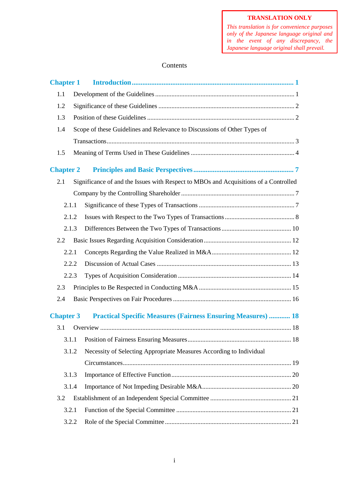*This translation is for convenience purposes only of the Japanese language original and in the event of any discrepancy, the Japanese language original shall prevail.*

# Contents

| <b>Chapter 1</b> |       |                                                                                      |  |  |  |  |
|------------------|-------|--------------------------------------------------------------------------------------|--|--|--|--|
| 1.1              |       |                                                                                      |  |  |  |  |
| 1.2              |       |                                                                                      |  |  |  |  |
| 1.3              |       |                                                                                      |  |  |  |  |
| 1.4              |       | Scope of these Guidelines and Relevance to Discussions of Other Types of             |  |  |  |  |
|                  |       |                                                                                      |  |  |  |  |
| 1.5              |       |                                                                                      |  |  |  |  |
| <b>Chapter 2</b> |       |                                                                                      |  |  |  |  |
| 2.1              |       | Significance of and the Issues with Respect to MBOs and Acquisitions of a Controlled |  |  |  |  |
|                  |       |                                                                                      |  |  |  |  |
|                  | 2.1.1 |                                                                                      |  |  |  |  |
|                  | 2.1.2 |                                                                                      |  |  |  |  |
|                  | 2.1.3 |                                                                                      |  |  |  |  |
| 2.2              |       |                                                                                      |  |  |  |  |
|                  | 2.2.1 |                                                                                      |  |  |  |  |
|                  | 2.2.2 |                                                                                      |  |  |  |  |
|                  | 2.2.3 |                                                                                      |  |  |  |  |
| 2.3              |       |                                                                                      |  |  |  |  |
| 2.4              |       |                                                                                      |  |  |  |  |
| <b>Chapter 3</b> |       | <b>Practical Specific Measures (Fairness Ensuring Measures)  18</b>                  |  |  |  |  |
| 3.1              |       |                                                                                      |  |  |  |  |
|                  |       |                                                                                      |  |  |  |  |
|                  | 3.1.2 | Necessity of Selecting Appropriate Measures According to Individual                  |  |  |  |  |
|                  |       |                                                                                      |  |  |  |  |
|                  | 3.1.3 |                                                                                      |  |  |  |  |
|                  | 3.1.4 |                                                                                      |  |  |  |  |
| 3.2              |       |                                                                                      |  |  |  |  |
|                  | 3.2.1 |                                                                                      |  |  |  |  |
|                  | 3.2.2 |                                                                                      |  |  |  |  |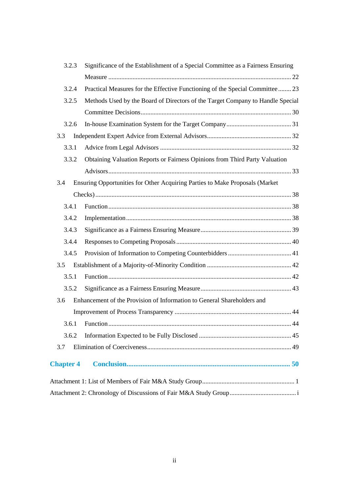| 3.2.3            | Significance of the Establishment of a Special Committee as a Fairness Ensuring |  |  |  |  |  |
|------------------|---------------------------------------------------------------------------------|--|--|--|--|--|
|                  |                                                                                 |  |  |  |  |  |
| 3.2.4            | Practical Measures for the Effective Functioning of the Special Committee  23   |  |  |  |  |  |
| 3.2.5            | Methods Used by the Board of Directors of the Target Company to Handle Special  |  |  |  |  |  |
|                  |                                                                                 |  |  |  |  |  |
| 3.2.6            |                                                                                 |  |  |  |  |  |
| 3.3              |                                                                                 |  |  |  |  |  |
| 3.3.1            |                                                                                 |  |  |  |  |  |
| 3.3.2            | Obtaining Valuation Reports or Fairness Opinions from Third Party Valuation     |  |  |  |  |  |
|                  |                                                                                 |  |  |  |  |  |
| 3.4              | Ensuring Opportunities for Other Acquiring Parties to Make Proposals (Market    |  |  |  |  |  |
|                  |                                                                                 |  |  |  |  |  |
| 3.4.1            |                                                                                 |  |  |  |  |  |
| 3.4.2            |                                                                                 |  |  |  |  |  |
| 3.4.3            |                                                                                 |  |  |  |  |  |
| 3.4.4            |                                                                                 |  |  |  |  |  |
| 3.4.5            |                                                                                 |  |  |  |  |  |
| 3.5              |                                                                                 |  |  |  |  |  |
| 3.5.1            |                                                                                 |  |  |  |  |  |
| 3.5.2            |                                                                                 |  |  |  |  |  |
| 3.6              | Enhancement of the Provision of Information to General Shareholders and         |  |  |  |  |  |
|                  |                                                                                 |  |  |  |  |  |
|                  | 44                                                                              |  |  |  |  |  |
| 3.6.2            |                                                                                 |  |  |  |  |  |
| 3.7              |                                                                                 |  |  |  |  |  |
| <b>Chapter 4</b> |                                                                                 |  |  |  |  |  |
|                  |                                                                                 |  |  |  |  |  |
|                  |                                                                                 |  |  |  |  |  |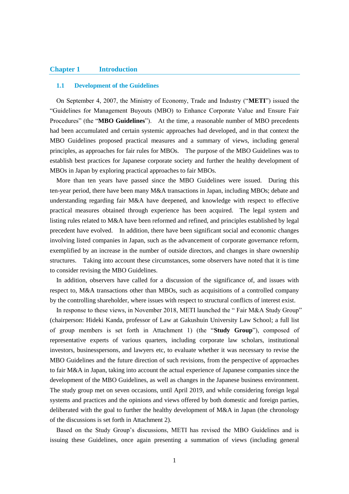### <span id="page-3-0"></span>**Chapter 1 Introduction**

### <span id="page-3-1"></span>**1.1 Development of the Guidelines**

On September 4, 2007, the Ministry of Economy, Trade and Industry ("**METI**") issued the "Guidelines for Management Buyouts (MBO) to Enhance Corporate Value and Ensure Fair Procedures" (the "**MBO Guidelines**"). At the time, a reasonable number of MBO precedents had been accumulated and certain systemic approaches had developed, and in that context the MBO Guidelines proposed practical measures and a summary of views, including general principles, as approaches for fair rules for MBOs. The purpose of the MBO Guidelines was to establish best practices for Japanese corporate society and further the healthy development of MBOs in Japan by exploring practical approaches to fair MBOs.

More than ten years have passed since the MBO Guidelines were issued. During this ten-year period, there have been many M&A transactions in Japan, including MBOs; debate and understanding regarding fair M&A have deepened, and knowledge with respect to effective practical measures obtained through experience has been acquired. The legal system and listing rules related to M&A have been reformed and refined, and principles established by legal precedent have evolved. In addition, there have been significant social and economic changes involving listed companies in Japan, such as the advancement of corporate governance reform, exemplified by an increase in the number of outside directors, and changes in share ownership structures. Taking into account these circumstances, some observers have noted that it is time to consider revising the MBO Guidelines.

In addition, observers have called for a discussion of the significance of, and issues with respect to, M&A transactions other than MBOs, such as acquisitions of a controlled company by the controlling shareholder, where issues with respect to structural conflicts of interest exist.

In response to these views, in November 2018, METI launched the " Fair M&A Study Group" (chairperson: Hideki Kanda, professor of Law at Gakushuin University Law School; a full list of group members is set forth in Attachment 1) (the "**Study Group**"), composed of representative experts of various quarters, including corporate law scholars, institutional investors, businesspersons, and lawyers etc, to evaluate whether it was necessary to revise the MBO Guidelines and the future direction of such revisions, from the perspective of approaches to fair M&A in Japan, taking into account the actual experience of Japanese companies since the development of the MBO Guidelines, as well as changes in the Japanese business environment. The study group met on seven occasions, until April 2019, and while considering foreign legal systems and practices and the opinions and views offered by both domestic and foreign parties, deliberated with the goal to further the healthy development of M&A in Japan (the chronology of the discussions is set forth in Attachment 2).

Based on the Study Group's discussions, METI has revised the MBO Guidelines and is issuing these Guidelines, once again presenting a summation of views (including general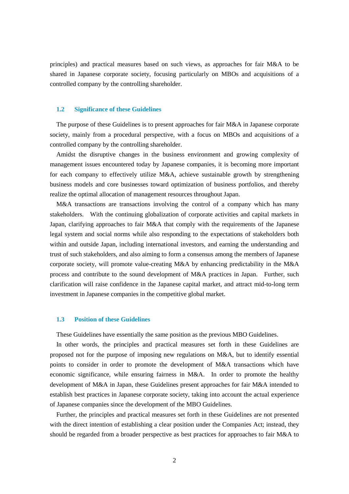principles) and practical measures based on such views, as approaches for fair M&A to be shared in Japanese corporate society, focusing particularly on MBOs and acquisitions of a controlled company by the controlling shareholder.

### <span id="page-4-0"></span>**1.2 Significance of these Guidelines**

The purpose of these Guidelines is to present approaches for fair M&A in Japanese corporate society, mainly from a procedural perspective, with a focus on MBOs and acquisitions of a controlled company by the controlling shareholder.

Amidst the disruptive changes in the business environment and growing complexity of management issues encountered today by Japanese companies, it is becoming more important for each company to effectively utilize M&A, achieve sustainable growth by strengthening business models and core businesses toward optimization of business portfolios, and thereby realize the optimal allocation of management resources throughout Japan.

M&A transactions are transactions involving the control of a company which has many stakeholders. With the continuing globalization of corporate activities and capital markets in Japan, clarifying approaches to fair M&A that comply with the requirements of the Japanese legal system and social norms while also responding to the expectations of stakeholders both within and outside Japan, including international investors, and earning the understanding and trust of such stakeholders, and also aiming to form a consensus among the members of Japanese corporate society, will promote value-creating M&A by enhancing predictability in the M&A process and contribute to the sound development of M&A practices in Japan. Further, such clarification will raise confidence in the Japanese capital market, and attract mid-to-long term investment in Japanese companies in the competitive global market.

### <span id="page-4-1"></span>**1.3 Position of these Guidelines**

These Guidelines have essentially the same position as the previous MBO Guidelines.

In other words, the principles and practical measures set forth in these Guidelines are proposed not for the purpose of imposing new regulations on M&A, but to identify essential points to consider in order to promote the development of M&A transactions which have economic significance, while ensuring fairness in M&A. In order to promote the healthy development of M&A in Japan, these Guidelines present approaches for fair M&A intended to establish best practices in Japanese corporate society, taking into account the actual experience of Japanese companies since the development of the MBO Guidelines.

Further, the principles and practical measures set forth in these Guidelines are not presented with the direct intention of establishing a clear position under the Companies Act; instead, they should be regarded from a broader perspective as best practices for approaches to fair M&A to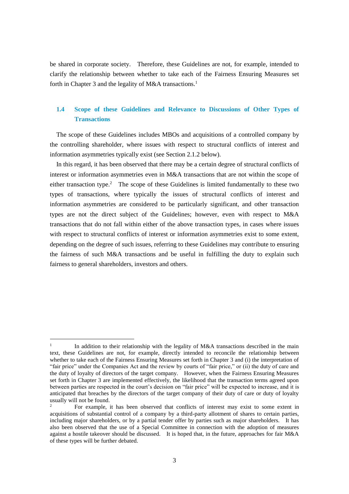be shared in corporate society. Therefore, these Guidelines are not, for example, intended to clarify the relationship between whether to take each of the Fairness Ensuring Measures set forth in Chapter 3 and the legality of M&A transactions.<sup>1</sup>

# <span id="page-5-0"></span>**1.4 Scope of these Guidelines and Relevance to Discussions of Other Types of Transactions**

The scope of these Guidelines includes MBOs and acquisitions of a controlled company by the controlling shareholder, where issues with respect to structural conflicts of interest and information asymmetries typically exist (see Section 2.1.2 below).

In this regard, it has been observed that there may be a certain degree of structural conflicts of interest or information asymmetries even in M&A transactions that are not within the scope of either transaction type.<sup>2</sup> The scope of these Guidelines is limited fundamentally to these two types of transactions, where typically the issues of structural conflicts of interest and information asymmetries are considered to be particularly significant, and other transaction types are not the direct subject of the Guidelines; however, even with respect to M&A transactions that do not fall within either of the above transaction types, in cases where issues with respect to structural conflicts of interest or information asymmetries exist to some extent, depending on the degree of such issues, referring to these Guidelines may contribute to ensuring the fairness of such M&A transactions and be useful in fulfilling the duty to explain such fairness to general shareholders, investors and others.

<u>.</u>

<sup>1</sup> In addition to their relationship with the legality of M&A transactions described in the main text, these Guidelines are not, for example, directly intended to reconcile the relationship between whether to take each of the Fairness Ensuring Measures set forth in Chapter 3 and (i) the interpretation of "fair price" under the Companies Act and the review by courts of "fair price," or (ii) the duty of care and the duty of loyalty of directors of the target company. However, when the Fairness Ensuring Measures set forth in Chapter 3 are implemented effectively, the likelihood that the transaction terms agreed upon between parties are respected in the court's decision on "fair price" will be expected to increase, and it is anticipated that breaches by the directors of the target company of their duty of care or duty of loyalty usually will not be found.

<sup>2</sup> For example, it has been observed that conflicts of interest may exist to some extent in acquisitions of substantial control of a company by a third-party allotment of shares to certain parties, including major shareholders, or by a partial tender offer by parties such as major shareholders. It has also been observed that the use of a Special Committee in connection with the adoption of measures against a hostile takeover should be discussed. It is hoped that, in the future, approaches for fair M&A of these types will be further debated.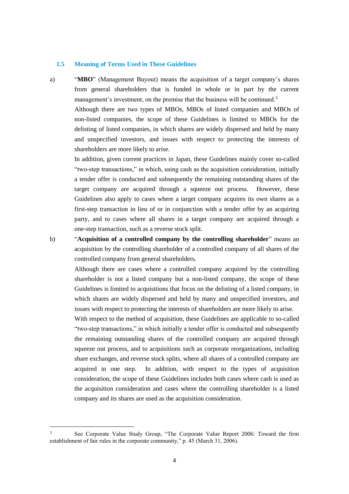#### <span id="page-6-0"></span>**1.5 Meaning of Terms Used in These Guidelines**

1

a) "**MBO**" (Management Buyout) means the acquisition of a target company's shares from general shareholders that is funded in whole or in part by the current management's investment, on the premise that the business will be continued.<sup>3</sup>

Although there are two types of MBOs, MBOs of listed companies and MBOs of non-listed companies, the scope of these Guidelines is limited to MBOs for the delisting of listed companies, in which shares are widely dispersed and held by many and unspecified investors, and issues with respect to protecting the interests of shareholders are more likely to arise.

In addition, given current practices in Japan, these Guidelines mainly cover so-called "two-step transactions," in which, using cash as the acquisition consideration, initially a tender offer is conducted and subsequently the remaining outstanding shares of the target company are acquired through a squeeze out process. However, these Guidelines also apply to cases where a target company acquires its own shares as a first-step transaction in lieu of or in conjunction with a tender offer by an acquiring party, and to cases where all shares in a target company are acquired through a one-step transaction, such as a reverse stock split.

b) "**Acquisition of a controlled company by the controlling shareholder**" means an acquisition by the controlling shareholder of a controlled company of all shares of the controlled company from general shareholders.

Although there are cases where a controlled company acquired by the controlling shareholder is not a listed company but a non-listed company, the scope of these Guidelines is limited to acquisitions that focus on the delisting of a listed company, in which shares are widely dispersed and held by many and unspecified investors, and issues with respect to protecting the interests of shareholders are more likely to arise.

With respect to the method of acquisition, these Guidelines are applicable to so-called "two-step transactions," in which initially a tender offer is conducted and subsequently the remaining outstanding shares of the controlled company are acquired through squeeze out process, and to acquisitions such as corporate reorganizations, including share exchanges, and reverse stock splits, where all shares of a controlled company are acquired in one step. In addition, with respect to the types of acquisition consideration, the scope of these Guidelines includes both cases where cash is used as the acquisition consideration and cases where the controlling shareholder is a listed company and its shares are used as the acquisition consideration.

<sup>3</sup> See Corporate Value Study Group, "The Corporate Value Report 2006: Toward the firm establishment of fair rules in the corporate community," p. 45 (March 31, 2006).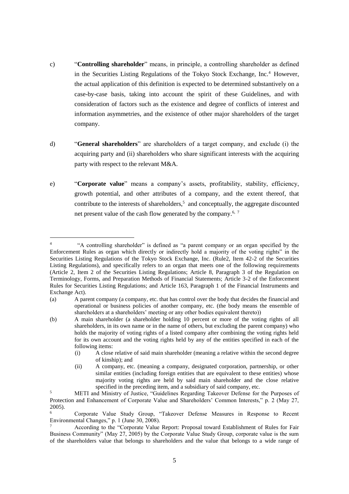- c) "**Controlling shareholder**" means, in principle, a controlling shareholder as defined in the Securities Listing Regulations of the Tokyo Stock Exchange, Inc.<sup>4</sup> However, the actual application of this definition is expected to be determined substantively on a case-by-case basis, taking into account the spirit of these Guidelines, and with consideration of factors such as the existence and degree of conflicts of interest and information asymmetries, and the existence of other major shareholders of the target company.
- d) "**General shareholders**" are shareholders of a target company, and exclude (i) the acquiring party and (ii) shareholders who share significant interests with the acquiring party with respect to the relevant M&A.
- e) "**Corporate value**" means a company's assets, profitability, stability, efficiency, growth potential, and other attributes of a company, and the extent thereof, that contribute to the interests of shareholders,<sup>5</sup> and conceptually, the aggregate discounted net present value of the cash flow generated by the company.<sup>6, 7</sup>

<sup>4</sup> "A controlling shareholder" is defined as "a parent company or an organ specified by the Enforcement Rules as organ which directly or indirectly hold a majority of the voting rights" in the Securities Listing Regulations of the Tokyo Stock Exchange, Inc. (Rule2, Item 42-2 of the Securities Listing Regulations), and specifically refers to an organ that meets one of the following requirements (Article 2, Item 2 of the Securities Listing Regulations; Article 8, Paragraph 3 of the Regulation on Terminology, Forms, and Preparation Methods of Financial Statements; Article 3-2 of the Enforcement Rules for Securities Listing Regulations; and Article 163, Paragraph 1 of the Financial Instruments and Exchange Act).

<sup>(</sup>a) A parent company (a company, etc. that has control over the body that decides the financial and operational or business policies of another company, etc. (the body means the ensemble of shareholders at a shareholders' meeting or any other bodies equivalent thereto))

<sup>(</sup>b) A main shareholder (a shareholder holding 10 percent or more of the voting rights of all shareholders, in its own name or in the name of others, but excluding the parent company) who holds the majority of voting rights of a listed company after combining the voting rights held for its own account and the voting rights held by any of the entities specified in each of the following items:

<sup>(</sup>i) A close relative of said main shareholder (meaning a relative within the second degree of kinship); and

<sup>(</sup>ii) A company, etc. (meaning a company, designated corporation, partnership, or other similar entities (including foreign entities that are equivalent to these entities) whose majority voting rights are held by said main shareholder and the close relative specified in the preceding item, and a subsidiary of said company, etc.

<sup>5</sup> METI and Ministry of Justice, "Guidelines Regarding Takeover Defense for the Purposes of Protection and Enhancement of Corporate Value and Shareholders' Common Interests," p. 2 (May 27,  $2005$ ).

<sup>6</sup> Corporate Value Study Group, "Takeover Defense Measures in Response to Recent Environmental Changes," p. 1 (June 30, 2008).

According to the "Corporate Value Report: Proposal toward Establishment of Rules for Fair Business Community" (May 27, 2005) by the Corporate Value Study Group, corporate value is the sum of the shareholders value that belongs to shareholders and the value that belongs to a wide range of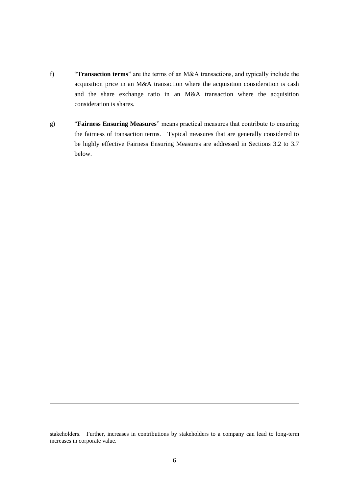- f) "**Transaction terms**" are the terms of an M&A transactions, and typically include the acquisition price in an M&A transaction where the acquisition consideration is cash and the share exchange ratio in an M&A transaction where the acquisition consideration is shares.
- g) "**Fairness Ensuring Measures**" means practical measures that contribute to ensuring the fairness of transaction terms. Typical measures that are generally considered to be highly effective Fairness Ensuring Measures are addressed in Sections 3.2 to 3.7 below.

stakeholders. Further, increases in contributions by stakeholders to a company can lead to long-term increases in corporate value.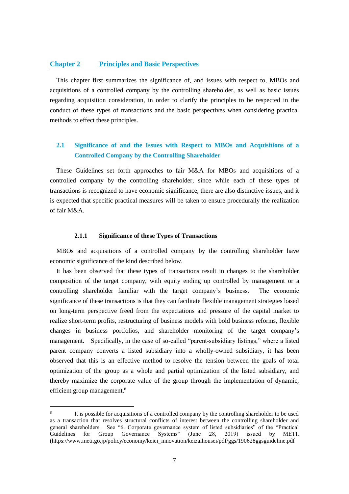### <span id="page-9-0"></span>**Chapter 2 Principles and Basic Perspectives**

This chapter first summarizes the significance of, and issues with respect to, MBOs and acquisitions of a controlled company by the controlling shareholder, as well as basic issues regarding acquisition consideration, in order to clarify the principles to be respected in the conduct of these types of transactions and the basic perspectives when considering practical methods to effect these principles.

# <span id="page-9-1"></span>**2.1 Significance of and the Issues with Respect to MBOs and Acquisitions of a Controlled Company by the Controlling Shareholder**

These Guidelines set forth approaches to fair M&A for MBOs and acquisitions of a controlled company by the controlling shareholder, since while each of these types of transactions is recognized to have economic significance, there are also distinctive issues, and it is expected that specific practical measures will be taken to ensure procedurally the realization of fair M&A.

### **2.1.1 Significance of these Types of Transactions**

<span id="page-9-2"></span>MBOs and acquisitions of a controlled company by the controlling shareholder have economic significance of the kind described below.

It has been observed that these types of transactions result in changes to the shareholder composition of the target company, with equity ending up controlled by management or a controlling shareholder familiar with the target company's business. The economic significance of these transactions is that they can facilitate flexible management strategies based on long-term perspective freed from the expectations and pressure of the capital market to realize short-term profits, restructuring of business models with bold business reforms, flexible changes in business portfolios, and shareholder monitoring of the target company's management. Specifically, in the case of so-called "parent-subsidiary listings," where a listed parent company converts a listed subsidiary into a wholly-owned subsidiary, it has been observed that this is an effective method to resolve the tension between the goals of total optimization of the group as a whole and partial optimization of the listed subsidiary, and thereby maximize the corporate value of the group through the implementation of dynamic, efficient group management.<sup>8</sup>

<sup>8</sup> It is possible for acquisitions of a controlled company by the controlling shareholder to be used as a transaction that resolves structural conflicts of interest between the controlling shareholder and general shareholders. See "6. Corporate governance system of listed subsidiaries" of the "Practical Guidelines for Group Governance Systems" (June 28, 2019) issued by METI. (https://www.meti.go.jp/policy/economy/keiei\_innovation/keizaihousei/pdf/ggs/190628ggsguideline.pdf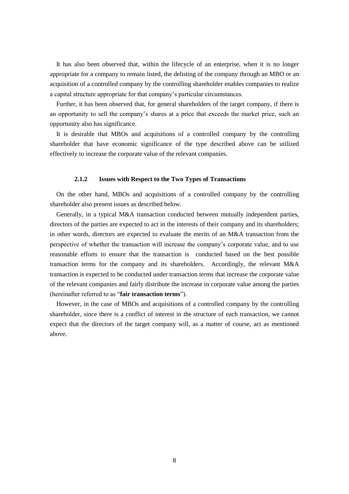It has also been observed that, within the lifecycle of an enterprise, when it is no longer appropriate for a company to remain listed, the delisting of the company through an MBO or an acquisition of a controlled company by the controlling shareholder enables companies to realize a capital structure appropriate for that company's particular circumstances.

Further, it has been observed that, for general shareholders of the target company, if there is an opportunity to sell the company's shares at a price that exceeds the market price, such an opportunity also has significance.

It is desirable that MBOs and acquisitions of a controlled company by the controlling shareholder that have economic significance of the type described above can be utilized effectively to increase the corporate value of the relevant companies.

### **2.1.2 Issues with Respect to the Two Types of Transactions**

<span id="page-10-0"></span>On the other hand, MBOs and acquisitions of a controlled company by the controlling shareholder also present issues as described below.

Generally, in a typical M&A transaction conducted between mutually independent parties, directors of the parties are expected to act in the interests of their company and its shareholders; in other words, directors are expected to evaluate the merits of an M&A transaction from the perspective of whether the transaction will increase the company's corporate value, and to use reasonable efforts to ensure that the transaction is conducted based on the best possible transaction terms for the company and its shareholders. Accordingly, the relevant M&A transaction is expected to be conducted under transaction terms that increase the corporate value of the relevant companies and fairly distribute the increase in corporate value among the parties (hereinafter referred to as "**fair transaction terms**").

However, in the case of MBOs and acquisitions of a controlled company by the controlling shareholder, since there is a conflict of interest in the structure of each transaction, we cannot expect that the directors of the target company will, as a matter of course, act as mentioned above.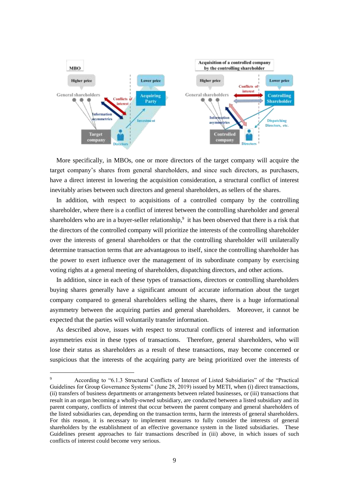

More specifically, in MBOs, one or more directors of the target company will acquire the target company's shares from general shareholders, and since such directors, as purchasers, have a direct interest in lowering the acquisition consideration, a structural conflict of interest inevitably arises between such directors and general shareholders, as sellers of the shares.

In addition, with respect to acquisitions of a controlled company by the controlling shareholder, where there is a conflict of interest between the controlling shareholder and general shareholders who are in a buyer-seller relationship,<sup>9</sup> it has been observed that there is a risk that the directors of the controlled company will prioritize the interests of the controlling shareholder over the interests of general shareholders or that the controlling shareholder will unilaterally determine transaction terms that are advantageous to itself, since the controlling shareholder has the power to exert influence over the management of its subordinate company by exercising voting rights at a general meeting of shareholders, dispatching directors, and other actions.

In addition, since in each of these types of transactions, directors or controlling shareholders buying shares generally have a significant amount of accurate information about the target company compared to general shareholders selling the shares, there is a huge informational asymmetry between the acquiring parties and general shareholders. Moreover, it cannot be expected that the parties will voluntarily transfer information.

As described above, issues with respect to structural conflicts of interest and information asymmetries exist in these types of transactions. Therefore, general shareholders, who will lose their status as shareholders as a result of these transactions, may become concerned or suspicious that the interests of the acquiring party are being prioritized over the interests of

<sup>9</sup> According to "6.1.3 Structural Conflicts of Interest of Listed Subsidiaries" of the "Practical Guidelines for Group Governance Systems" (June 28, 2019) issued by METI, when (i) direct transactions, (ii) transfers of business departments or arrangements between related businesses, or (iii) transactions that result in an organ becoming a wholly-owned subsidiary, are conducted between a listed subsidiary and its parent company, conflicts of interest that occur between the parent company and general shareholders of the listed subsidiaries can, depending on the transaction terms, harm the interests of general shareholders. For this reason, it is necessary to implement measures to fully consider the interests of general shareholders by the establishment of an effective governance system in the listed subsidiaries. These Guidelines present approaches to fair transactions described in (iii) above, in which issues of such conflicts of interest could become very serious.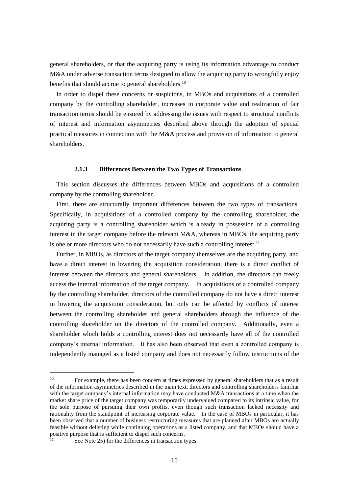general shareholders, or that the acquiring party is using its information advantage to conduct M&A under adverse transaction terms designed to allow the acquiring party to wrongfully enjoy benefits that should accrue to general shareholders.<sup>10</sup>

In order to dispel these concerns or suspicions, in MBOs and acquisitions of a controlled company by the controlling shareholder, increases in corporate value and realization of fair transaction terms should be ensured by addressing the issues with respect to structural conflicts of interest and information asymmetries described above through the adoption of special practical measures in connection with the M&A process and provision of information to general shareholders.

#### **2.1.3 Differences Between the Two Types of Transactions**

<span id="page-12-0"></span>This section discusses the differences between MBOs and acquisitions of a controlled company by the controlling shareholder.

First, there are structurally important differences between the two types of transactions. Specifically, in acquisitions of a controlled company by the controlling shareholder, the acquiring party is a controlling shareholder which is already in possession of a controlling interest in the target company before the relevant M&A, whereas in MBOs, the acquiring party is one or more directors who do not necessarily have such a controlling interest.<sup>11</sup>

Further, in MBOs, as directors of the target company themselves are the acquiring party, and have a direct interest in lowering the acquisition consideration, there is a direct conflict of interest between the directors and general shareholders. In addition, the directors can freely access the internal information of the target company. In acquisitions of a controlled company by the controlling shareholder, directors of the controlled company do not have a direct interest in lowering the acquisition consideration, but only can be affected by conflicts of interest between the controlling shareholder and general shareholders through the influence of the controlling shareholder on the directors of the controlled company. Additionally, even a shareholder which holds a controlling interest does not necessarily have all of the controlled company's internal information. It has also been observed that even a controlled company is independently managed as a listed company and does not necessarily follow instructions of the

<sup>&</sup>lt;sup>10</sup> For example, there has been concern at times expressed by general shareholders that as a result of the information asymmetries described in the main text, directors and controlling shareholders familiar with the target company's internal information may have conducted M&A transactions at a time when the market share price of the target company was temporarily undervalued compared to its intrinsic value, for the sole purpose of pursuing their own profits, even though such transaction lacked necessity and rationality from the standpoint of increasing corporate value. In the case of MBOs in particular, it has been observed that a number of business restructuring measures that are planned after MBOs are actually feasible without delisting while continuing operations as a listed company, and that MBOs should have a positive purpose that is sufficient to dispel such concerns.

See Note 25) for the differences in transaction types.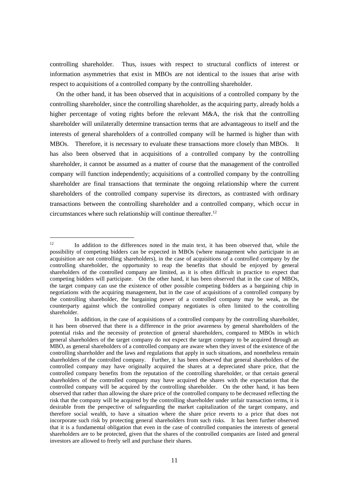controlling shareholder. Thus, issues with respect to structural conflicts of interest or information asymmetries that exist in MBOs are not identical to the issues that arise with respect to acquisitions of a controlled company by the controlling shareholder.

On the other hand, it has been observed that in acquisitions of a controlled company by the controlling shareholder, since the controlling shareholder, as the acquiring party, already holds a higher percentage of voting rights before the relevant M&A, the risk that the controlling shareholder will unilaterally determine transaction terms that are advantageous to itself and the interests of general shareholders of a controlled company will be harmed is higher than with MBOs. Therefore, it is necessary to evaluate these transactions more closely than MBOs. It has also been observed that in acquisitions of a controlled company by the controlling shareholder, it cannot be assumed as a matter of course that the management of the controlled company will function independently; acquisitions of a controlled company by the controlling shareholder are final transactions that terminate the ongoing relationship where the current shareholders of the controlled company supervise its directors, as contrasted with ordinary transactions between the controlling shareholder and a controlled company, which occur in circumstances where such relationship will continue thereafter.<sup>12</sup>

<sup>&</sup>lt;sup>12</sup> In addition to the differences noted in the main text, it has been observed that, while the possibility of competing bidders can be expected in MBOs (where management who participate in an acquisition are not controlling shareholders), in the case of acquisitions of a controlled company by the controlling shareholder, the opportunity to reap the benefits that should be enjoyed by general shareholders of the controlled company are limited, as it is often difficult in practice to expect that competing bidders will participate. On the other hand, it has been observed that in the case of MBOs, the target company can use the existence of other possible competing bidders as a bargaining chip in negotiations with the acquiring management, but in the case of acquisitions of a controlled company by the controlling shareholder, the bargaining power of a controlled company may be weak, as the counterparty against which the controlled company negotiates is often limited to the controlling shareholder.

In addition, in the case of acquisitions of a controlled company by the controlling shareholder, it has been observed that there is a difference in the prior awareness by general shareholders of the potential risks and the necessity of protection of general shareholders, compared to MBOs in which general shareholders of the target company do not expect the target company to be acquired through an MBO, as general shareholders of a controlled company are aware when they invest of the existence of the controlling shareholder and the laws and regulations that apply in such situations, and nonetheless remain shareholders of the controlled company. Further, it has been observed that general shareholders of the controlled company may have originally acquired the shares at a depreciated share price, that the controlled company benefits from the reputation of the controlling shareholder, or that certain general shareholders of the controlled company may have acquired the shares with the expectation that the controlled company will be acquired by the controlling shareholder. On the other hand, it has been observed that rather than allowing the share price of the controlled company to be decreased reflecting the risk that the company will be acquired by the controlling shareholder under unfair transaction terms, it is desirable from the perspective of safeguarding the market capitalization of the target company, and therefore social wealth, to have a situation where the share price reverts to a price that does not incorporate such risk by protecting general shareholders from such risks. It has been further observed that it is a fundamental obligation that even in the case of controlled companies the interests of general shareholders are to be protected, given that the shares of the controlled companies are listed and general investors are allowed to freely sell and purchase their shares.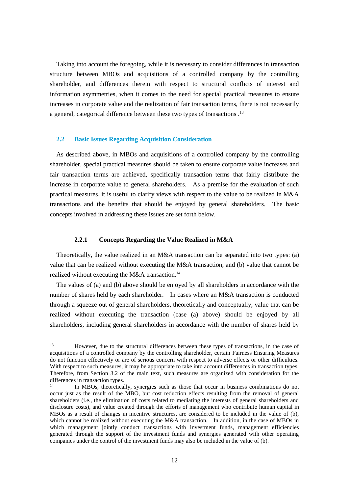Taking into account the foregoing, while it is necessary to consider differences in transaction structure between MBOs and acquisitions of a controlled company by the controlling shareholder, and differences therein with respect to structural conflicts of interest and information asymmetries, when it comes to the need for special practical measures to ensure increases in corporate value and the realization of fair transaction terms, there is not necessarily a general, categorical difference between these two types of transactions .<sup>13</sup>

# <span id="page-14-0"></span>**2.2 Basic Issues Regarding Acquisition Consideration**

<u>.</u>

As described above, in MBOs and acquisitions of a controlled company by the controlling shareholder, special practical measures should be taken to ensure corporate value increases and fair transaction terms are achieved, specifically transaction terms that fairly distribute the increase in corporate value to general shareholders. As a premise for the evaluation of such practical measures, it is useful to clarify views with respect to the value to be realized in M&A transactions and the benefits that should be enjoyed by general shareholders. The basic concepts involved in addressing these issues are set forth below.

#### **2.2.1 Concepts Regarding the Value Realized in M&A**

<span id="page-14-1"></span>Theoretically, the value realized in an M&A transaction can be separated into two types: (a) value that can be realized without executing the M&A transaction, and (b) value that cannot be realized without executing the M&A transaction.<sup>14</sup>

The values of (a) and (b) above should be enjoyed by all shareholders in accordance with the number of shares held by each shareholder. In cases where an M&A transaction is conducted through a squeeze out of general shareholders, theoretically and conceptually, value that can be realized without executing the transaction (case (a) above) should be enjoyed by all shareholders, including general shareholders in accordance with the number of shares held by

<sup>13</sup> However, due to the structural differences between these types of transactions, in the case of acquisitions of a controlled company by the controlling shareholder, certain Fairness Ensuring Measures do not function effectively or are of serious concern with respect to adverse effects or other difficulties. With respect to such measures, it may be appropriate to take into account differences in transaction types. Therefore, from Section 3.2 of the main text, such measures are organized with consideration for the differences in transaction types.

In MBOs, theoretically, synergies such as those that occur in business combinations do not occur just as the result of the MBO, but cost reduction effects resulting from the removal of general shareholders (i.e., the elimination of costs related to mediating the interests of general shareholders and disclosure costs), and value created through the efforts of management who contribute human capital in MBOs as a result of changes in incentive structures, are considered to be included in the value of (b), which cannot be realized without executing the M&A transaction. In addition, in the case of MBOs in which management jointly conduct transactions with investment funds, management efficiencies generated through the support of the investment funds and synergies generated with other operating companies under the control of the investment funds may also be included in the value of (b).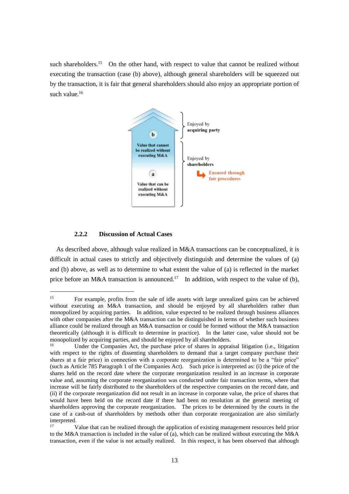such shareholders.<sup>15</sup> On the other hand, with respect to value that cannot be realized without executing the transaction (case (b) above), although general shareholders will be squeezed out by the transaction, it is fair that general shareholders should also enjoy an appropriate portion of such value.<sup>16</sup>



# **2.2.2 Discussion of Actual Cases**

<u>.</u>

<span id="page-15-0"></span>As described above, although value realized in M&A transactions can be conceptualized, it is difficult in actual cases to strictly and objectively distinguish and determine the values of (a) and (b) above, as well as to determine to what extent the value of (a) is reflected in the market price before an M&A transaction is announced.<sup>17</sup> In addition, with respect to the value of (b),

<sup>&</sup>lt;sup>15</sup> For example, profits from the sale of idle assets with large unrealized gains can be achieved without executing an M&A transaction, and should be enjoyed by all shareholders rather than monopolized by acquiring parties. In addition, value expected to be realized through business alliances with other companies after the M&A transaction can be distinguished in terms of whether such business alliance could be realized through an M&A transaction or could be formed without the M&A transaction theoretically (although it is difficult to determine in practice). In the latter case, value should not be monopolized by acquiring parties, and should be enjoyed by all shareholders.

<sup>16</sup> Under the Companies Act, the purchase price of shares in appraisal litigation (i.e., litigation with respect to the rights of dissenting shareholders to demand that a target company purchase their shares at a fair price) in connection with a corporate reorganization is determined to be a "fair price" (such as Article 785 Paragraph 1 of the Companies Act). Such price is interpreted as: (i) the price of the shares held on the record date where the corporate reorganization resulted in an increase in corporate value and, assuming the corporate reorganization was conducted under fair transaction terms, where that increase will be fairly distributed to the shareholders of the respective companies on the record date, and (ii) if the corporate reorganization did not result in an increase in corporate value, the price of shares that would have been held on the record date if there had been no resolution at the general meeting of shareholders approving the corporate reorganization. The prices to be determined by the courts in the case of a cash-out of shareholders by methods other than corporate reorganization are also similarly interpreted.

<sup>17</sup> Value that can be realized through the application of existing management resources held prior to the M&A transaction is included in the value of (a), which can be realized without executing the M&A transaction, even if the value is not actually realized. In this respect, it has been observed that although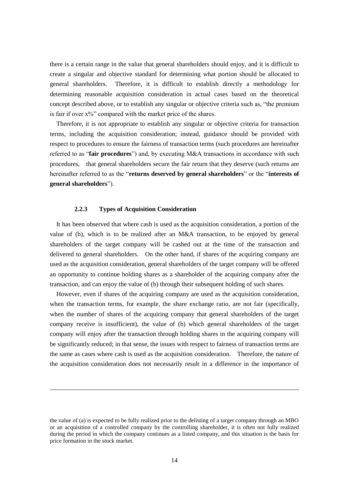there is a certain range in the value that general shareholders should enjoy, and it is difficult to create a singular and objective standard for determining what portion should be allocated to general shareholders. Therefore, it is difficult to establish directly a methodology for determining reasonable acquisition consideration in actual cases based on the theoretical concept described above, or to establish any singular or objective criteria such as, "the premium is fair if over  $x\frac{9}{6}$ " compared with the market price of the shares.

Therefore, it is not appropriate to establish any singular or objective criteria for transaction terms, including the acquisition consideration; instead, guidance should be provided with respect to procedures to ensure the fairness of transaction terms (such procedures are hereinafter referred to as "**fair procedures**") and, by executing M&A transactions in accordance with such procedures, that general shareholders secure the fair return that they deserve (such returns are hereinafter referred to as the "**returns deserved by general shareholders**" or the "**interests of general shareholders**").

### **2.2.3 Types of Acquisition Consideration**

1

<span id="page-16-0"></span>It has been observed that where cash is used as the acquisition consideration, a portion of the value of (b), which is to be realized after an M&A transaction, to be enjoyed by general shareholders of the target company will be cashed out at the time of the transaction and delivered to general shareholders. On the other hand, if shares of the acquiring company are used as the acquisition consideration, general shareholders of the target company will be offered an opportunity to continue holding shares as a shareholder of the acquiring company after the transaction, and can enjoy the value of (b) through their subsequent holding of such shares.

However, even if shares of the acquiring company are used as the acquisition consideration, when the transaction terms, for example, the share exchange ratio, are not fair (specifically, when the number of shares of the acquiring company that general shareholders of the target company receive is insufficient), the value of (b) which general shareholders of the target company will enjoy after the transaction through holding shares in the acquiring company will be significantly reduced; in that sense, the issues with respect to fairness of transaction terms are the same as cases where cash is used as the acquisition consideration. Therefore, the nature of the acquisition consideration does not necessarily result in a difference in the importance of

the value of (a) is expected to be fully realized prior to the delisting of a target company through an MBO or an acquisition of a controlled company by the controlling shareholder, it is often not fully realized during the period in which the company continues as a listed company, and this situation is the basis for price formation in the stock market.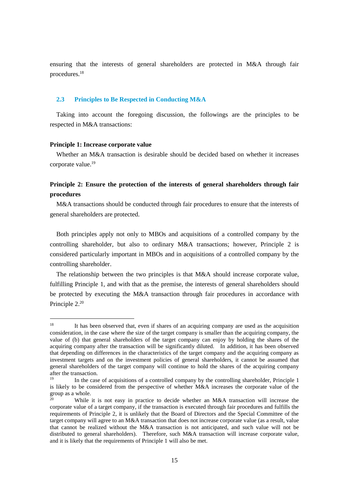ensuring that the interests of general shareholders are protected in M&A through fair procedures.<sup>18</sup>

# <span id="page-17-0"></span>**2.3 Principles to Be Respected in Conducting M&A**

Taking into account the foregoing discussion, the followings are the principles to be respected in M&A transactions:

### **Principle 1: Increase corporate value**

1

Whether an M&A transaction is desirable should be decided based on whether it increases corporate value.<sup>19</sup>

# **Principle 2: Ensure the protection of the interests of general shareholders through fair procedures**

M&A transactions should be conducted through fair procedures to ensure that the interests of general shareholders are protected.

Both principles apply not only to MBOs and acquisitions of a controlled company by the controlling shareholder, but also to ordinary M&A transactions; however, Principle 2 is considered particularly important in MBOs and in acquisitions of a controlled company by the controlling shareholder.

The relationship between the two principles is that M&A should increase corporate value, fulfilling Principle 1, and with that as the premise, the interests of general shareholders should be protected by executing the M&A transaction through fair procedures in accordance with Principle 2.<sup>20</sup>

<sup>&</sup>lt;sup>18</sup> It has been observed that, even if shares of an acquiring company are used as the acquisition consideration, in the case where the size of the target company is smaller than the acquiring company, the value of (b) that general shareholders of the target company can enjoy by holding the shares of the acquiring company after the transaction will be significantly diluted. In addition, it has been observed that depending on differences in the characteristics of the target company and the acquiring company as investment targets and on the investment policies of general shareholders, it cannot be assumed that general shareholders of the target company will continue to hold the shares of the acquiring company after the transaction.

<sup>19</sup> In the case of acquisitions of a controlled company by the controlling shareholder, Principle 1 is likely to be considered from the perspective of whether M&A increases the corporate value of the group as a whole.

While it is not easy in practice to decide whether an M&A transaction will increase the corporate value of a target company, if the transaction is executed through fair procedures and fulfills the requirements of Principle 2, it is unlikely that the Board of Directors and the Special Committee of the target company will agree to an M&A transaction that does not increase corporate value (as a result, value that cannot be realized without the M&A transaction is not anticipated, and such value will not be distributed to general shareholders). Therefore, such M&A transaction will increase corporate value, and it is likely that the requirements of Principle 1 will also be met.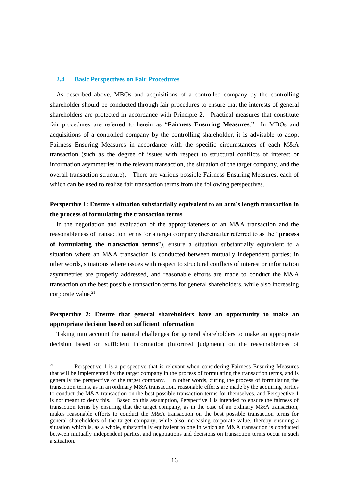### <span id="page-18-0"></span>**2.4 Basic Perspectives on Fair Procedures**

1

As described above, MBOs and acquisitions of a controlled company by the controlling shareholder should be conducted through fair procedures to ensure that the interests of general shareholders are protected in accordance with Principle 2. Practical measures that constitute fair procedures are referred to herein as "**Fairness Ensuring Measures**." In MBOs and acquisitions of a controlled company by the controlling shareholder, it is advisable to adopt Fairness Ensuring Measures in accordance with the specific circumstances of each M&A transaction (such as the degree of issues with respect to structural conflicts of interest or information asymmetries in the relevant transaction, the situation of the target company, and the overall transaction structure). There are various possible Fairness Ensuring Measures, each of which can be used to realize fair transaction terms from the following perspectives.

# **Perspective 1: Ensure a situation substantially equivalent to an arm's length transaction in the process of formulating the transaction terms**

In the negotiation and evaluation of the appropriateness of an M&A transaction and the reasonableness of transaction terms for a target company (hereinafter referred to as the "**process of formulating the transaction terms**"), ensure a situation substantially equivalent to a situation where an M&A transaction is conducted between mutually independent parties; in other words, situations where issues with respect to structural conflicts of interest or information asymmetries are properly addressed, and reasonable efforts are made to conduct the M&A transaction on the best possible transaction terms for general shareholders, while also increasing corporate value.<sup>21</sup>

# **Perspective 2: Ensure that general shareholders have an opportunity to make an appropriate decision based on sufficient information**

Taking into account the natural challenges for general shareholders to make an appropriate decision based on sufficient information (informed judgment) on the reasonableness of

<sup>21</sup> Perspective 1 is a perspective that is relevant when considering Fairness Ensuring Measures that will be implemented by the target company in the process of formulating the transaction terms, and is generally the perspective of the target company. In other words, during the process of formulating the transaction terms, as in an ordinary M&A transaction, reasonable efforts are made by the acquiring parties to conduct the M&A transaction on the best possible transaction terms for themselves, and Perspective 1 is not meant to deny this. Based on this assumption, Perspective 1 is intended to ensure the fairness of transaction terms by ensuring that the target company, as in the case of an ordinary M&A transaction, makes reasonable efforts to conduct the M&A transaction on the best possible transaction terms for general shareholders of the target company, while also increasing corporate value, thereby ensuring a situation which is, as a whole, substantially equivalent to one in which an M&A transaction is conducted between mutually independent parties, and negotiations and decisions on transaction terms occur in such a situation.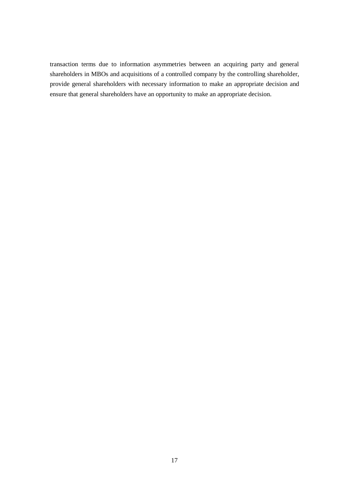transaction terms due to information asymmetries between an acquiring party and general shareholders in MBOs and acquisitions of a controlled company by the controlling shareholder, provide general shareholders with necessary information to make an appropriate decision and ensure that general shareholders have an opportunity to make an appropriate decision.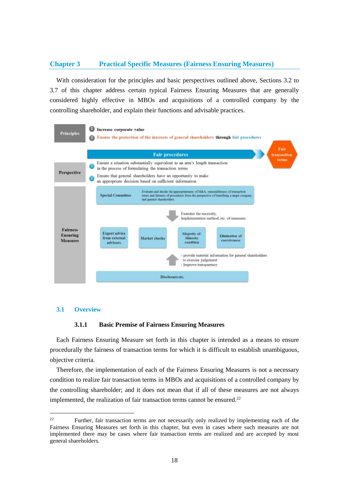# <span id="page-20-0"></span>**Chapter 3 Practical Specific Measures (Fairness Ensuring Measures)**

With consideration for the principles and basic perspectives outlined above, Sections 3.2 to 3.7 of this chapter address certain typical Fairness Ensuring Measures that are generally considered highly effective in MBOs and acquisitions of a controlled company by the controlling shareholder, and explain their functions and advisable practices.

<span id="page-20-1"></span>

#### <span id="page-20-2"></span>**3.1 Overview**

1

### **3.1.1 Basic Premise of Fairness Ensuring Measures**

Each Fairness Ensuring Measure set forth in this chapter is intended as a means to ensure procedurally the fairness of transaction terms for which it is difficult to establish unambiguous, objective criteria.

Therefore, the implementation of each of the Fairness Ensuring Measures is not a necessary condition to realize fair transaction terms in MBOs and acquisitions of a controlled company by the controlling shareholder; and it does not mean that if all of these measures are not always implemented, the realization of fair transaction terms cannot be ensured.<sup>22</sup>

<sup>&</sup>lt;sup>22</sup> Further, fair transaction terms are not necessarily only realized by implementing each of the Fairness Ensuring Measures set forth in this chapter, but even in cases where such measures are not implemented there may be cases where fair transaction terms are realized and are accepted by most general shareholders.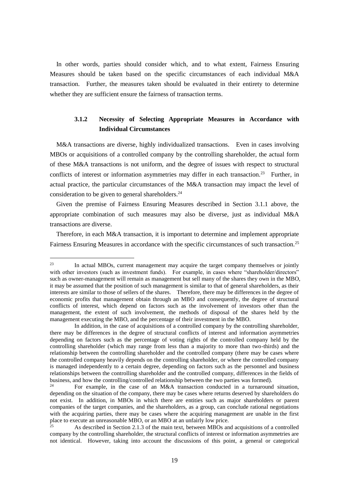In other words, parties should consider which, and to what extent, Fairness Ensuring Measures should be taken based on the specific circumstances of each individual M&A transaction. Further, the measures taken should be evaluated in their entirety to determine whether they are sufficient ensure the fairness of transaction terms.

# <span id="page-21-0"></span>**3.1.2 Necessity of Selecting Appropriate Measures in Accordance with Individual Circumstances**

M&A transactions are diverse, highly individualized transactions. Even in cases involving MBOs or acquisitions of a controlled company by the controlling shareholder, the actual form of these M&A transactions is not uniform, and the degree of issues with respect to structural conflicts of interest or information asymmetries may differ in each transaction.<sup>23</sup> Further, in actual practice, the particular circumstances of the M&A transaction may impact the level of consideration to be given to general shareholders.<sup>24</sup>

Given the premise of Fairness Ensuring Measures described in Section 3.1.1 above, the appropriate combination of such measures may also be diverse, just as individual M&A transactions are diverse.

Therefore, in each M&A transaction, it is important to determine and implement appropriate Fairness Ensuring Measures in accordance with the specific circumstances of such transaction.<sup>25</sup>

<sup>&</sup>lt;sup>23</sup> In actual MBOs, current management may acquire the target company themselves or jointly with other investors (such as investment funds). For example, in cases where "shareholder/directors" such as owner-management will remain as management but sell many of the shares they own in the MBO, it may be assumed that the position of such management is similar to that of general shareholders, as their interests are similar to those of sellers of the shares. Therefore, there may be differences in the degree of economic profits that management obtain through an MBO and consequently, the degree of structural conflicts of interest, which depend on factors such as the involvement of investors other than the management, the extent of such involvement, the methods of disposal of the shares held by the management executing the MBO, and the percentage of their investment in the MBO.

In addition, in the case of acquisitions of a controlled company by the controlling shareholder, there may be differences in the degree of structural conflicts of interest and information asymmetries depending on factors such as the percentage of voting rights of the controlled company held by the controlling shareholder (which may range from less than a majority to more than two-thirds) and the relationship between the controlling shareholder and the controlled company (there may be cases where the controlled company heavily depends on the controlling shareholder, or where the controlled company is managed independently to a certain degree, depending on factors such as the personnel and business relationships between the controlling shareholder and the controlled company, differences in the fields of business, and how the controlling/controlled relationship between the two parties was formed).<br><sup>24</sup>

For example, in the case of an M&A transaction conducted in a turnaround situation, depending on the situation of the company, there may be cases where returns deserved by shareholders do not exist. In addition, in MBOs in which there are entities such as major shareholders or parent companies of the target companies, and the shareholders, as a group, can conclude rational negotiations with the acquiring parties, there may be cases where the acquiring management are unable in the first place to execute an unreasonable MBO, or an MBO at an unfairly low price.

<sup>25</sup> As described in Section 2.1.3 of the main text, between MBOs and acquisitions of a controlled company by the controlling shareholder, the structural conflicts of interest or information asymmetries are not identical. However, taking into account the discussions of this point, a general or categorical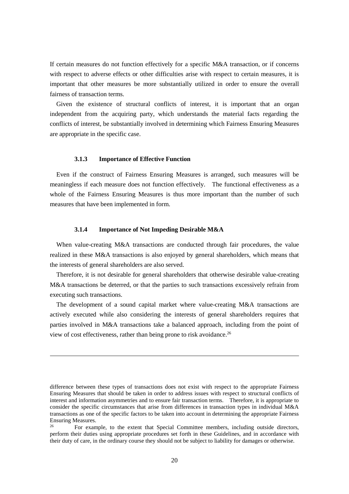If certain measures do not function effectively for a specific M&A transaction, or if concerns with respect to adverse effects or other difficulties arise with respect to certain measures, it is important that other measures be more substantially utilized in order to ensure the overall fairness of transaction terms.

Given the existence of structural conflicts of interest, it is important that an organ independent from the acquiring party, which understands the material facts regarding the conflicts of interest, be substantially involved in determining which Fairness Ensuring Measures are appropriate in the specific case.

### **3.1.3 Importance of Effective Function**

<u>.</u>

<span id="page-22-0"></span>Even if the construct of Fairness Ensuring Measures is arranged, such measures will be meaningless if each measure does not function effectively. The functional effectiveness as a whole of the Fairness Ensuring Measures is thus more important than the number of such measures that have been implemented in form.

### **3.1.4 Importance of Not Impeding Desirable M&A**

<span id="page-22-1"></span>When value-creating M&A transactions are conducted through fair procedures, the value realized in these M&A transactions is also enjoyed by general shareholders, which means that the interests of general shareholders are also served.

Therefore, it is not desirable for general shareholders that otherwise desirable value-creating M&A transactions be deterred, or that the parties to such transactions excessively refrain from executing such transactions.

The development of a sound capital market where value-creating M&A transactions are actively executed while also considering the interests of general shareholders requires that parties involved in M&A transactions take a balanced approach, including from the point of view of cost effectiveness, rather than being prone to risk avoidance.<sup>26</sup>

difference between these types of transactions does not exist with respect to the appropriate Fairness Ensuring Measures that should be taken in order to address issues with respect to structural conflicts of interest and information asymmetries and to ensure fair transaction terms. Therefore, it is appropriate to consider the specific circumstances that arise from differences in transaction types in individual M&A transactions as one of the specific factors to be taken into account in determining the appropriate Fairness Ensuring Measures.<br><sup>26</sup> Equipment

<sup>26</sup> For example, to the extent that Special Committee members, including outside directors, perform their duties using appropriate procedures set forth in these Guidelines, and in accordance with their duty of care, in the ordinary course they should not be subject to liability for damages or otherwise.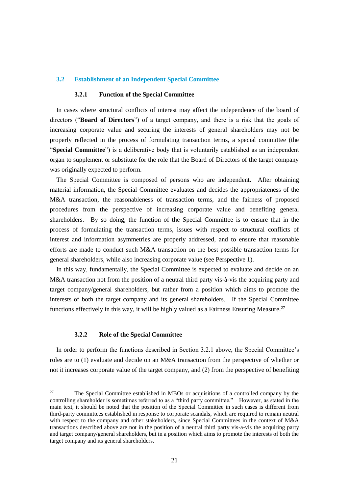### <span id="page-23-1"></span><span id="page-23-0"></span>**3.2 Establishment of an Independent Special Committee**

### **3.2.1 Function of the Special Committee**

In cases where structural conflicts of interest may affect the independence of the board of directors ("**Board of Directors**") of a target company, and there is a risk that the goals of increasing corporate value and securing the interests of general shareholders may not be properly reflected in the process of formulating transaction terms, a special committee (the "**Special Committee**") is a deliberative body that is voluntarily established as an independent organ to supplement or substitute for the role that the Board of Directors of the target company was originally expected to perform.

The Special Committee is composed of persons who are independent. After obtaining material information, the Special Committee evaluates and decides the appropriateness of the M&A transaction, the reasonableness of transaction terms, and the fairness of proposed procedures from the perspective of increasing corporate value and benefiting general shareholders. By so doing, the function of the Special Committee is to ensure that in the process of formulating the transaction terms, issues with respect to structural conflicts of interest and information asymmetries are properly addressed, and to ensure that reasonable efforts are made to conduct such M&A transaction on the best possible transaction terms for general shareholders, while also increasing corporate value (see Perspective 1).

In this way, fundamentally, the Special Committee is expected to evaluate and decide on an M&A transaction not from the position of a neutral third party vis-à-vis the acquiring party and target company/general shareholders, but rather from a position which aims to promote the interests of both the target company and its general shareholders. If the Special Committee functions effectively in this way, it will be highly valued as a Fairness Ensuring Measure.<sup>27</sup>

#### **3.2.2 Role of the Special Committee**

1

<span id="page-23-2"></span>In order to perform the functions described in Section 3.2.1 above, the Special Committee's roles are to (1) evaluate and decide on an M&A transaction from the perspective of whether or not it increases corporate value of the target company, and (2) from the perspective of benefiting

<sup>&</sup>lt;sup>27</sup> The Special Committee established in MBOs or acquisitions of a controlled company by the controlling shareholder is sometimes referred to as a "third party committee." However, as stated in the main text, it should be noted that the position of the Special Committee in such cases is different from third-party committees established in response to corporate scandals, which are required to remain neutral with respect to the company and other stakeholders, since Special Committees in the context of M&A transactions described above are not in the position of a neutral third party vis-a-vis the acquiring party and target company/general shareholders, but in a position which aims to promote the interests of both the target company and its general shareholders.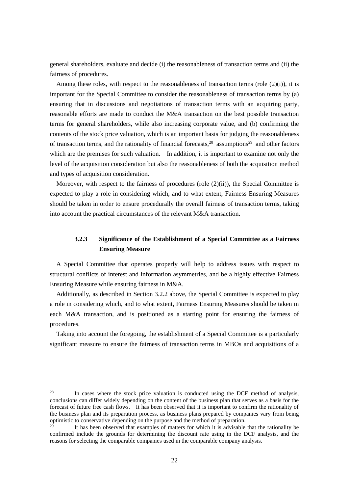general shareholders, evaluate and decide (i) the reasonableness of transaction terms and (ii) the fairness of procedures.

Among these roles, with respect to the reasonableness of transaction terms (role  $(2)(i)$ ), it is important for the Special Committee to consider the reasonableness of transaction terms by (a) ensuring that in discussions and negotiations of transaction terms with an acquiring party, reasonable efforts are made to conduct the M&A transaction on the best possible transaction terms for general shareholders, while also increasing corporate value, and (b) confirming the contents of the stock price valuation, which is an important basis for judging the reasonableness of transaction terms, and the rationality of financial forecasts,  $28$  assumptions  $29$  and other factors which are the premises for such valuation. In addition, it is important to examine not only the level of the acquisition consideration but also the reasonableness of both the acquisition method and types of acquisition consideration.

Moreover, with respect to the fairness of procedures (role  $(2)(ii)$ ), the Special Committee is expected to play a role in considering which, and to what extent, Fairness Ensuring Measures should be taken in order to ensure procedurally the overall fairness of transaction terms, taking into account the practical circumstances of the relevant M&A transaction.

# <span id="page-24-0"></span>**3.2.3 Significance of the Establishment of a Special Committee as a Fairness Ensuring Measure**

A Special Committee that operates properly will help to address issues with respect to structural conflicts of interest and information asymmetries, and be a highly effective Fairness Ensuring Measure while ensuring fairness in M&A.

Additionally, as described in Section 3.2.2 above, the Special Committee is expected to play a role in considering which, and to what extent, Fairness Ensuring Measures should be taken in each M&A transaction, and is positioned as a starting point for ensuring the fairness of procedures.

Taking into account the foregoing, the establishment of a Special Committee is a particularly significant measure to ensure the fairness of transaction terms in MBOs and acquisitions of a

<sup>&</sup>lt;sup>28</sup> In cases where the stock price valuation is conducted using the DCF method of analysis, conclusions can differ widely depending on the content of the business plan that serves as a basis for the forecast of future free cash flows. It has been observed that it is important to confirm the rationality of the business plan and its preparation process, as business plans prepared by companies vary from being optimistic to conservative depending on the purpose and the method of preparation.

It has been observed that examples of matters for which it is advisable that the rationality be confirmed include the grounds for determining the discount rate using in the DCF analysis, and the reasons for selecting the comparable companies used in the comparable company analysis.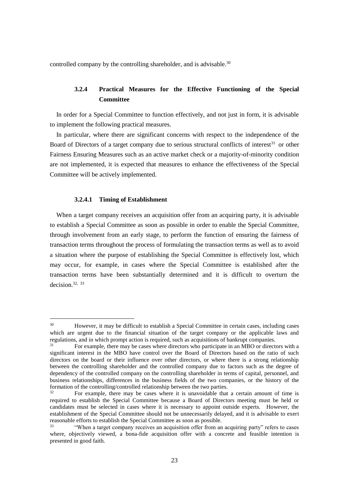<span id="page-25-0"></span>controlled company by the controlling shareholder, and is advisable.<sup>30</sup>

# **3.2.4 Practical Measures for the Effective Functioning of the Special Committee**

In order for a Special Committee to function effectively, and not just in form, it is advisable to implement the following practical measures.

In particular, where there are significant concerns with respect to the independence of the Board of Directors of a target company due to serious structural conflicts of interest $31$  or other Fairness Ensuring Measures such as an active market check or a majority-of-minority condition are not implemented, it is expected that measures to enhance the effectiveness of the Special Committee will be actively implemented.

### **3.2.4.1 Timing of Establishment**

1

When a target company receives an acquisition offer from an acquiring party, it is advisable to establish a Special Committee as soon as possible in order to enable the Special Committee, through involvement from an early stage, to perform the function of ensuring the fairness of transaction terms throughout the process of formulating the transaction terms as well as to avoid a situation where the purpose of establishing the Special Committee is effectively lost, which may occur, for example, in cases where the Special Committee is established after the transaction terms have been substantially determined and it is difficult to overturn the decision.32, 33

<sup>&</sup>lt;sup>30</sup> However, it may be difficult to establish a Special Committee in certain cases, including cases which are urgent due to the financial situation of the target company or the applicable laws and regulations, and in which prompt action is required, such as acquisitions of bankrupt companies.

<sup>31</sup> For example, there may be cases where directors who participate in an MBO or directors with a significant interest in the MBO have control over the Board of Directors based on the ratio of such directors on the board or their influence over other directors, or where there is a strong relationship between the controlling shareholder and the controlled company due to factors such as the degree of dependency of the controlled company on the controlling shareholder in terms of capital, personnel, and business relationships, differences in the business fields of the two companies, or the history of the formation of the controlling/controlled relationship between the two parties.

<sup>32</sup> For example, there may be cases where it is unavoidable that a certain amount of time is required to establish the Special Committee because a Board of Directors meeting must be held or candidates must be selected in cases where it is necessary to appoint outside experts. However, the establishment of the Special Committee should not be unnecessarily delayed, and it is advisable to exert reasonable efforts to establish the Special Committee as soon as possible.

<sup>&</sup>quot;When a target company receives an acquisition offer from an acquiring party" refers to cases where, objectively viewed, a bona-fide acquisition offer with a concrete and feasible intention is presented in good faith.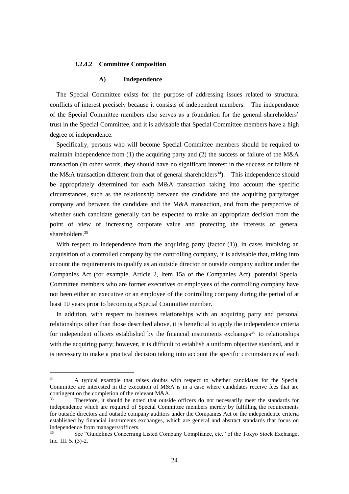#### **3.2.4.2 Committee Composition**

### **A) Independence**

The Special Committee exists for the purpose of addressing issues related to structural conflicts of interest precisely because it consists of independent members. The independence of the Special Committee members also serves as a foundation for the general shareholders' trust in the Special Committee, and it is advisable that Special Committee members have a high degree of independence.

Specifically, persons who will become Special Committee members should be required to maintain independence from (1) the acquiring party and (2) the success or failure of the  $M&A$ transaction (in other words, they should have no significant interest in the success or failure of the M&A transaction different from that of general shareholders<sup>34</sup>). This independence should be appropriately determined for each M&A transaction taking into account the specific circumstances, such as the relationship between the candidate and the acquiring party/target company and between the candidate and the M&A transaction, and from the perspective of whether such candidate generally can be expected to make an appropriate decision from the point of view of increasing corporate value and protecting the interests of general shareholders.<sup>35</sup>

With respect to independence from the acquiring party (factor (1)), in cases involving an acquisition of a controlled company by the controlling company, it is advisable that, taking into account the requirements to qualify as an outside director or outside company auditor under the Companies Act (for example, Article 2, Item 15a of the Companies Act), potential Special Committee members who are former executives or employees of the controlling company have not been either an executive or an employee of the controlling company during the period of at least 10 years prior to becoming a Special Committee member.

In addition, with respect to business relationships with an acquiring party and personal relationships other than those described above, it is beneficial to apply the independence criteria for independent officers established by the financial instruments exchanges<sup>36</sup> to relationships with the acquiring party; however, it is difficult to establish a uniform objective standard, and it is necessary to make a practical decision taking into account the specific circumstances of each

<sup>&</sup>lt;sup>34</sup> A typical example that raises doubts with respect to whether candidates for the Special Committee are interested in the execution of M&A is in a case where candidates receive fees that are contingent on the completion of the relevant M&A.

<sup>35</sup> Therefore, it should be noted that outside officers do not necessarily meet the standards for independence which are required of Special Committee members merely by fulfilling the requirements for outside directors and outside company auditors under the Companies Act or the independence criteria established by financial instruments exchanges, which are general and abstract standards that focus on independence from managers/officers.

<sup>36</sup> See "Guidelines Concerning Listed Company Compliance, etc." of the Tokyo Stock Exchange, Inc. III. 5. (3)-2.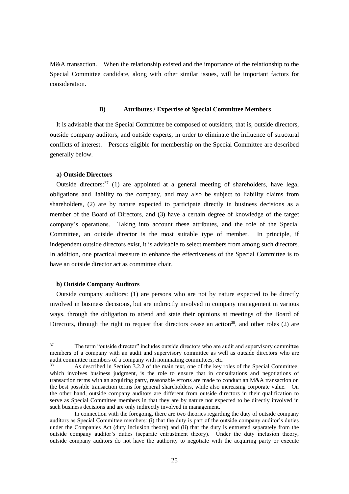M&A transaction. When the relationship existed and the importance of the relationship to the Special Committee candidate, along with other similar issues, will be important factors for consideration.

#### **B) Attributes / Expertise of Special Committee Members**

It is advisable that the Special Committee be composed of outsiders, that is, outside directors, outside company auditors, and outside experts, in order to eliminate the influence of structural conflicts of interest. Persons eligible for membership on the Special Committee are described generally below.

### **a) Outside Directors**

Outside directors: $37$  (1) are appointed at a general meeting of shareholders, have legal obligations and liability to the company, and may also be subject to liability claims from shareholders, (2) are by nature expected to participate directly in business decisions as a member of the Board of Directors, and (3) have a certain degree of knowledge of the target company's operations. Taking into account these attributes, and the role of the Special Committee, an outside director is the most suitable type of member. In principle, if independent outside directors exist, it is advisable to select members from among such directors. In addition, one practical measure to enhance the effectiveness of the Special Committee is to have an outside director act as committee chair.

### **b) Outside Company Auditors**

<u>.</u>

Outside company auditors: (1) are persons who are not by nature expected to be directly involved in business decisions, but are indirectly involved in company management in various ways, through the obligation to attend and state their opinions at meetings of the Board of Directors, through the right to request that directors cease an action<sup>38</sup>, and other roles  $(2)$  are

<sup>&</sup>lt;sup>37</sup> The term "outside director" includes outside directors who are audit and supervisory committee members of a company with an audit and supervisory committee as well as outside directors who are audit committee members of a company with nominating committees, etc.

<sup>38</sup> As described in Section 3.2.2 of the main text, one of the key roles of the Special Committee, which involves business judgment, is the role to ensure that in consultations and negotiations of transaction terms with an acquiring party, reasonable efforts are made to conduct an M&A transaction on the best possible transaction terms for general shareholders, while also increasing corporate value. On the other hand, outside company auditors are different from outside directors in their qualification to serve as Special Committee members in that they are by nature not expected to be directly involved in such business decisions and are only indirectly involved in management.

In connection with the foregoing, there are two theories regarding the duty of outside company auditors as Special Committee members: (i) that the duty is part of the outside company auditor's duties under the Companies Act (duty inclusion theory) and (ii) that the duty is entrusted separately from the outside company auditor's duties (separate entrustment theory). Under the duty inclusion theory, outside company auditors do not have the authority to negotiate with the acquiring party or execute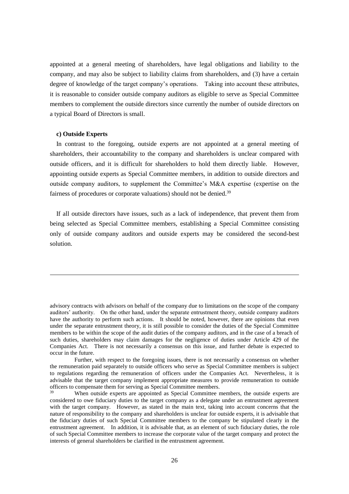appointed at a general meeting of shareholders, have legal obligations and liability to the company, and may also be subject to liability claims from shareholders, and (3) have a certain degree of knowledge of the target company's operations. Taking into account these attributes, it is reasonable to consider outside company auditors as eligible to serve as Special Committee members to complement the outside directors since currently the number of outside directors on a typical Board of Directors is small.

### **c) Outside Experts**

1

In contrast to the foregoing, outside experts are not appointed at a general meeting of shareholders, their accountability to the company and shareholders is unclear compared with outside officers, and it is difficult for shareholders to hold them directly liable. However, appointing outside experts as Special Committee members, in addition to outside directors and outside company auditors, to supplement the Committee's M&A expertise (expertise on the fairness of procedures or corporate valuations) should not be denied.<sup>39</sup>

If all outside directors have issues, such as a lack of independence, that prevent them from being selected as Special Committee members, establishing a Special Committee consisting only of outside company auditors and outside experts may be considered the second-best solution.

advisory contracts with advisors on behalf of the company due to limitations on the scope of the company auditors' authority. On the other hand, under the separate entrustment theory, outside company auditors have the authority to perform such actions. It should be noted, however, there are opinions that even under the separate entrustment theory, it is still possible to consider the duties of the Special Committee members to be within the scope of the audit duties of the company auditors, and in the case of a breach of such duties, shareholders may claim damages for the negligence of duties under Article 429 of the Companies Act. There is not necessarily a consensus on this issue, and further debate is expected to occur in the future.

Further, with respect to the foregoing issues, there is not necessarily a consensus on whether the remuneration paid separately to outside officers who serve as Special Committee members is subject to regulations regarding the remuneration of officers under the Companies Act. Nevertheless, it is advisable that the target company implement appropriate measures to provide remuneration to outside officers to compensate them for serving as Special Committee members.

When outside experts are appointed as Special Committee members, the outside experts are considered to owe fiduciary duties to the target company as a delegate under an entrustment agreement with the target company. However, as stated in the main text, taking into account concerns that the nature of responsibility to the company and shareholders is unclear for outside experts, it is advisable that the fiduciary duties of such Special Committee members to the company be stipulated clearly in the entrustment agreement. In addition, it is advisable that, as an element of such fiduciary duties, the role of such Special Committee members to increase the corporate value of the target company and protect the interests of general shareholders be clarified in the entrustment agreement.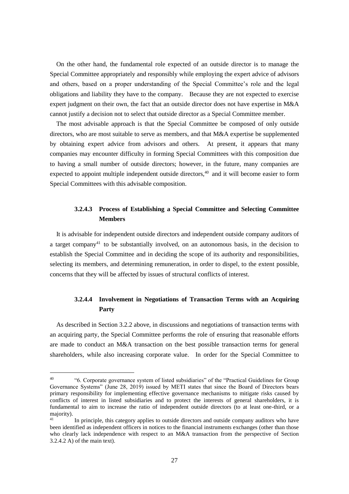On the other hand, the fundamental role expected of an outside director is to manage the Special Committee appropriately and responsibly while employing the expert advice of advisors and others, based on a proper understanding of the Special Committee's role and the legal obligations and liability they have to the company. Because they are not expected to exercise expert judgment on their own, the fact that an outside director does not have expertise in M&A cannot justify a decision not to select that outside director as a Special Committee member.

The most advisable approach is that the Special Committee be composed of only outside directors, who are most suitable to serve as members, and that M&A expertise be supplemented by obtaining expert advice from advisors and others. At present, it appears that many companies may encounter difficulty in forming Special Committees with this composition due to having a small number of outside directors; however, in the future, many companies are expected to appoint multiple independent outside directors,<sup>40</sup> and it will become easier to form Special Committees with this advisable composition.

# **3.2.4.3 Process of Establishing a Special Committee and Selecting Committee Members**

It is advisable for independent outside directors and independent outside company auditors of a target company<sup>41</sup> to be substantially involved, on an autonomous basis, in the decision to establish the Special Committee and in deciding the scope of its authority and responsibilities, selecting its members, and determining remuneration, in order to dispel, to the extent possible, concerns that they will be affected by issues of structural conflicts of interest.

# **3.2.4.4 Involvement in Negotiations of Transaction Terms with an Acquiring Party**

As described in Section 3.2.2 above, in discussions and negotiations of transaction terms with an acquiring party, the Special Committee performs the role of ensuring that reasonable efforts are made to conduct an M&A transaction on the best possible transaction terms for general shareholders, while also increasing corporate value. In order for the Special Committee to

<sup>40</sup> "6. Corporate governance system of listed subsidiaries" of the "Practical Guidelines for Group Governance Systems" (June 28, 2019) issued by METI states that since the Board of Directors bears primary responsibility for implementing effective governance mechanisms to mitigate risks caused by conflicts of interest in listed subsidiaries and to protect the interests of general shareholders, it is fundamental to aim to increase the ratio of independent outside directors (to at least one-third, or a majority).

<sup>41</sup> In principle, this category applies to outside directors and outside company auditors who have been identified as independent officers in notices to the financial instruments exchanges (other than those who clearly lack independence with respect to an M&A transaction from the perspective of Section 3.2.4.2 A) of the main text).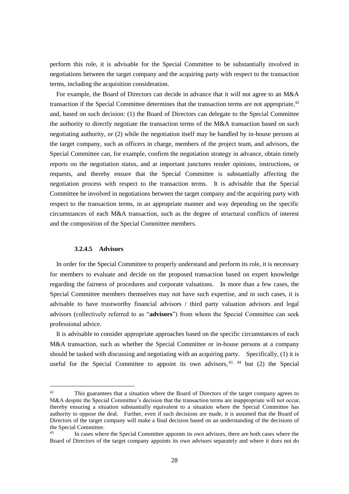perform this role, it is advisable for the Special Committee to be substantially involved in negotiations between the target company and the acquiring party with respect to the transaction terms, including the acquisition consideration.

For example, the Board of Directors can decide in advance that it will not agree to an M&A transaction if the Special Committee determines that the transaction terms are not appropriate,<sup>42</sup> and, based on such decision: (1) the Board of Directors can delegate to the Special Committee the authority to directly negotiate the transaction terms of the M&A transaction based on such negotiating authority, or (2) while the negotiation itself may be handled by in-house persons at the target company, such as officers in charge, members of the project team, and advisors, the Special Committee can, for example, confirm the negotiation strategy in advance, obtain timely reports on the negotiation status, and at important junctures render opinions, instructions, or requests, and thereby ensure that the Special Committee is substantially affecting the negotiation process with respect to the transaction terms. It is advisable that the Special Committee be involved in negotiations between the target company and the acquiring party with respect to the transaction terms, in an appropriate manner and way depending on the specific circumstances of each M&A transaction, such as the degree of structural conflicts of interest and the composition of the Special Committee members.

# **3.2.4.5 Advisors**

1

In order for the Special Committee to properly understand and perform its role, it is necessary for members to evaluate and decide on the proposed transaction based on expert knowledge regarding the fairness of procedures and corporate valuations. In more than a few cases, the Special Committee members themselves may not have such expertise, and in such cases, it is advisable to have trustworthy financial advisors / third party valuation advisors and legal advisors (collectively referred to as "**advisors**") from whom the Special Committee can seek professional advice.

It is advisable to consider appropriate approaches based on the specific circumstances of each M&A transaction, such as whether the Special Committee or in-house persons at a company should be tasked with discussing and negotiating with an acquiring party. Specifically, (1) it is useful for the Special Committee to appoint its own advisors.<sup>43, 44</sup> but (2) the Special

<sup>&</sup>lt;sup>42</sup> This guarantees that a situation where the Board of Directors of the target company agrees to M&A despite the Special Committee's decision that the transaction terms are inappropriate will not occur. thereby ensuring a situation substantially equivalent to a situation where the Special Committee has authority to oppose the deal. Further, even if such decisions are made, it is assumed that the Board of Directors of the target company will make a final decision based on an understanding of the decisions of the Special Committee.

In cases where the Special Committee appoints its own advisors, there are both cases where the Board of Directors of the target company appoints its own advisors separately and where it does not do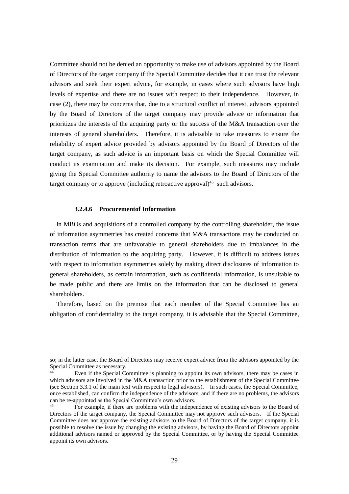Committee should not be denied an opportunity to make use of advisors appointed by the Board of Directors of the target company if the Special Committee decides that it can trust the relevant advisors and seek their expert advice, for example, in cases where such advisors have high levels of expertise and there are no issues with respect to their independence. However, in case (2), there may be concerns that, due to a structural conflict of interest, advisors appointed by the Board of Directors of the target company may provide advice or information that prioritizes the interests of the acquiring party or the success of the M&A transaction over the interests of general shareholders. Therefore, it is advisable to take measures to ensure the reliability of expert advice provided by advisors appointed by the Board of Directors of the target company, as such advice is an important basis on which the Special Committee will conduct its examination and make its decision. For example, such measures may include giving the Special Committee authority to name the advisors to the Board of Directors of the target company or to approve (including retroactive approval)<sup>45</sup> such advisors.

### **3.2.4.6 Procurementof Information**

1

In MBOs and acquisitions of a controlled company by the controlling shareholder, the issue of information asymmetries has created concerns that M&A transactions may be conducted on transaction terms that are unfavorable to general shareholders due to imbalances in the distribution of information to the acquiring party. However, it is difficult to address issues with respect to information asymmetries solely by making direct disclosures of information to general shareholders, as certain information, such as confidential information, is unsuitable to be made public and there are limits on the information that can be disclosed to general shareholders.

Therefore, based on the premise that each member of the Special Committee has an obligation of confidentiality to the target company, it is advisable that the Special Committee,

so; in the latter case, the Board of Directors may receive expert advice from the advisors appointed by the Special Committee as necessary.

Even if the Special Committee is planning to appoint its own advisors, there may be cases in which advisors are involved in the M&A transaction prior to the establishment of the Special Committee (see Section 3.3.1 of the main text with respect to legal advisors). In such cases, the Special Committee, once established, can confirm the independence of the advisors, and if there are no problems, the advisors can be re-appointed as the Special Committee's own advisors.

<sup>45</sup> For example, if there are problems with the independence of existing advisors to the Board of Directors of the target company, the Special Committee may not approve such advisors. If the Special Committee does not approve the existing advisors to the Board of Directors of the target company, it is possible to resolve the issue by changing the existing advisors, by having the Board of Directors appoint additional advisors named or approved by the Special Committee, or by having the Special Committee appoint its own advisors.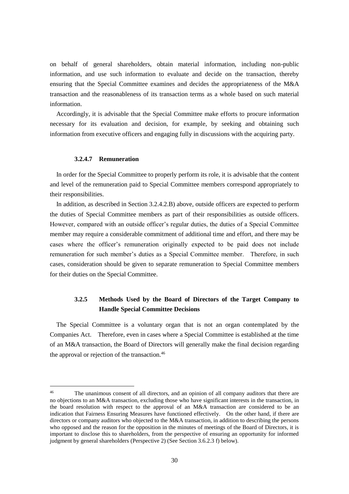on behalf of general shareholders, obtain material information, including non-public information, and use such information to evaluate and decide on the transaction, thereby ensuring that the Special Committee examines and decides the appropriateness of the M&A transaction and the reasonableness of its transaction terms as a whole based on such material information.

Accordingly, it is advisable that the Special Committee make efforts to procure information necessary for its evaluation and decision, for example, by seeking and obtaining such information from executive officers and engaging fully in discussions with the acquiring party.

#### **3.2.4.7 Remuneration**

1

In order for the Special Committee to properly perform its role, it is advisable that the content and level of the remuneration paid to Special Committee members correspond appropriately to their responsibilities.

In addition, as described in Section 3.2.4.2.B) above, outside officers are expected to perform the duties of Special Committee members as part of their responsibilities as outside officers. However, compared with an outside officer's regular duties, the duties of a Special Committee member may require a considerable commitment of additional time and effort, and there may be cases where the officer's remuneration originally expected to be paid does not include remuneration for such member's duties as a Special Committee member. Therefore, in such cases, consideration should be given to separate remuneration to Special Committee members for their duties on the Special Committee.

# <span id="page-32-0"></span>**3.2.5 Methods Used by the Board of Directors of the Target Company to Handle Special Committee Decisions**

The Special Committee is a voluntary organ that is not an organ contemplated by the Companies Act. Therefore, even in cases where a Special Committee is established at the time of an M&A transaction, the Board of Directors will generally make the final decision regarding the approval or rejection of the transaction.<sup>46</sup>

<sup>&</sup>lt;sup>46</sup> The unanimous consent of all directors, and an opinion of all company auditors that there are no objections to an M&A transaction, excluding those who have significant interests in the transaction, in the board resolution with respect to the approval of an M&A transaction are considered to be an indication that Fairness Ensuring Measures have functioned effectively. On the other hand, if there are directors or company auditors who objected to the M&A transaction, in addition to describing the persons who opposed and the reason for the opposition in the minutes of meetings of the Board of Directors, it is important to disclose this to shareholders, from the perspective of ensuring an opportunity for informed judgment by general shareholders (Perspective 2) (See Section 3.6.2.3 f) below).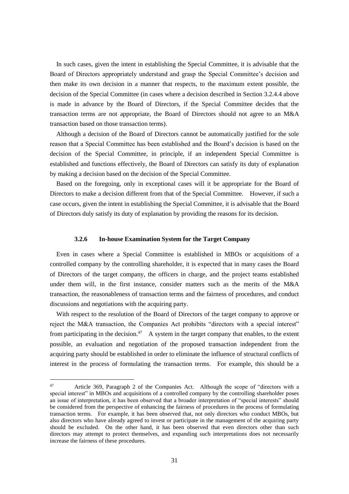In such cases, given the intent in establishing the Special Committee, it is advisable that the Board of Directors appropriately understand and grasp the Special Committee's decision and then make its own decision in a manner that respects, to the maximum extent possible, the decision of the Special Committee (in cases where a decision described in Section 3.2.4.4 above is made in advance by the Board of Directors, if the Special Committee decides that the transaction terms are not appropriate, the Board of Directors should not agree to an M&A transaction based on those transaction terms).

Although a decision of the Board of Directors cannot be automatically justified for the sole reason that a Special Committee has been established and the Board's decision is based on the decision of the Special Committee, in principle, if an independent Special Committee is established and functions effectively, the Board of Directors can satisfy its duty of explanation by making a decision based on the decision of the Special Committee.

Based on the foregoing, only in exceptional cases will it be appropriate for the Board of Directors to make a decision different from that of the Special Committee. However, if such a case occurs, given the intent in establishing the Special Committee, it is advisable that the Board of Directors duly satisfy its duty of explanation by providing the reasons for its decision.

### **3.2.6 In-house Examination System for the Target Company**

<span id="page-33-0"></span>Even in cases where a Special Committee is established in MBOs or acquisitions of a controlled company by the controlling shareholder, it is expected that in many cases the Board of Directors of the target company, the officers in charge, and the project teams established under them will, in the first instance, consider matters such as the merits of the M&A transaction, the reasonableness of transaction terms and the fairness of procedures, and conduct discussions and negotiations with the acquiring party.

With respect to the resolution of the Board of Directors of the target company to approve or reject the M&A transaction, the Companies Act prohibits "directors with a special interest" from participating in the decision.<sup>47</sup> A system in the target company that enables, to the extent possible, an evaluation and negotiation of the proposed transaction independent from the acquiring party should be established in order to eliminate the influence of structural conflicts of interest in the process of formulating the transaction terms. For example, this should be a

<u>.</u>

<sup>47</sup> Article 369, Paragraph 2 of the Companies Act. Although the scope of "directors with a special interest" in MBOs and acquisitions of a controlled company by the controlling shareholder poses an issue of interpretation, it has been observed that a broader interpretation of "special interests" should be considered from the perspective of enhancing the fairness of procedures in the process of formulating transaction terms. For example, it has been observed that, not only directors who conduct MBOs, but also directors who have already agreed to invest or participate in the management of the acquiring party should be excluded. On the other hand, it has been observed that even directors other than such directors may attempt to protect themselves, and expanding such interpretations does not necessarily increase the fairness of these procedures.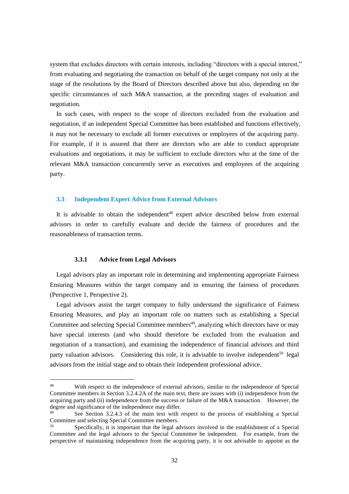system that excludes directors with certain interests, including "directors with a special interest," from evaluating and negotiating the transaction on behalf of the target company not only at the stage of the resolutions by the Board of Directors described above but also, depending on the specific circumstances of such M&A transaction, at the preceding stages of evaluation and negotiation.

In such cases, with respect to the scope of directors excluded from the evaluation and negotiation, if an independent Special Committee has been established and functions effectively, it may not be necessary to exclude all former executives or employees of the acquiring party. For example, if it is assured that there are directors who are able to conduct appropriate evaluations and negotiations, it may be sufficient to exclude directors who at the time of the relevant M&A transaction concurrently serve as executives and employees of the acquiring party.

### <span id="page-34-0"></span>**3.3 Independent Expert Advice from External Advisors**

It is advisable to obtain the independent<sup>48</sup> expert advice described below from external advisors in order to carefully evaluate and decide the fairness of procedures and the reasonableness of transaction terms.

# **3.3.1 Advice from Legal Advisors**

<u>.</u>

<span id="page-34-1"></span>Legal advisors play an important role in determining and implementing appropriate Fairness Ensuring Measures within the target company and in ensuring the fairness of procedures (Perspective 1, Perspective 2).

Legal advisors assist the target company to fully understand the significance of Fairness Ensuring Measures, and play an important role on matters such as establishing a Special Committee and selecting Special Committee members<sup>49</sup>, analyzing which directors have or may have special interests (and who should therefore be excluded from the evaluation and negotiation of a transaction), and examining the independence of financial advisors and third party valuation advisors. Considering this role, it is advisable to involve independent<sup>50</sup> legal advisors from the initial stage and to obtain their independent professional advice.

<sup>48</sup> With respect to the independence of external advisors, similar to the independence of Special Committee members in Section 3.2.4.2A of the main text, there are issues with (i) independence from the acquiring party and (ii) independence from the success or failure of the M&A transaction. However, the degree and significance of the independence may differ.

<sup>&</sup>lt;sup>49</sup> See Section 3.2.4.3 of the main text with respect to the process of establishing a Special Committee and selecting Special Committee members.

<sup>50</sup> Specifically, it is important that the legal advisors involved in the establishment of a Special Committee and the legal advisors to the Special Committee be independent. For example, from the perspective of maintaining independence from the acquiring party, it is not advisable to appoint as the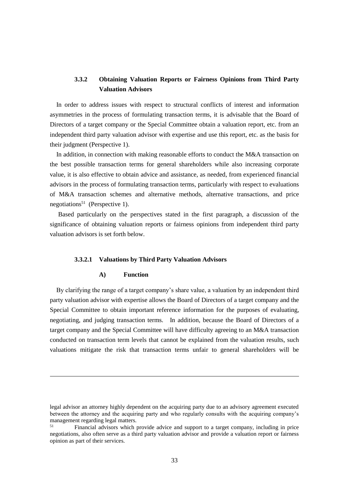# <span id="page-35-0"></span>**3.3.2 Obtaining Valuation Reports or Fairness Opinions from Third Party Valuation Advisors**

In order to address issues with respect to structural conflicts of interest and information asymmetries in the process of formulating transaction terms, it is advisable that the Board of Directors of a target company or the Special Committee obtain a valuation report, etc. from an independent third party valuation advisor with expertise and use this report, etc. as the basis for their judgment (Perspective 1).

In addition, in connection with making reasonable efforts to conduct the M&A transaction on the best possible transaction terms for general shareholders while also increasing corporate value, it is also effective to obtain advice and assistance, as needed, from experienced financial advisors in the process of formulating transaction terms, particularly with respect to evaluations of M&A transaction schemes and alternative methods, alternative transactions, and price negotiations<sup>51</sup> (Perspective 1).

Based particularly on the perspectives stated in the first paragraph, a discussion of the significance of obtaining valuation reports or fairness opinions from independent third party valuation advisors is set forth below.

# **3.3.2.1 Valuations by Third Party Valuation Advisors**

### **A) Function**

1

By clarifying the range of a target company's share value, a valuation by an independent third party valuation advisor with expertise allows the Board of Directors of a target company and the Special Committee to obtain important reference information for the purposes of evaluating, negotiating, and judging transaction terms. In addition, because the Board of Directors of a target company and the Special Committee will have difficulty agreeing to an M&A transaction conducted on transaction term levels that cannot be explained from the valuation results, such valuations mitigate the risk that transaction terms unfair to general shareholders will be

legal advisor an attorney highly dependent on the acquiring party due to an advisory agreement executed between the attorney and the acquiring party and who regularly consults with the acquiring company's management regarding legal matters.

<sup>51</sup> Financial advisors which provide advice and support to a target company, including in price negotiations, also often serve as a third party valuation advisor and provide a valuation report or fairness opinion as part of their services.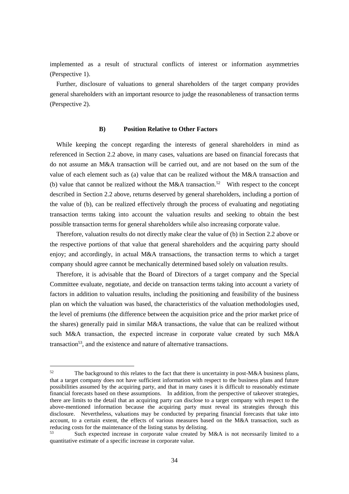implemented as a result of structural conflicts of interest or information asymmetries (Perspective 1).

Further, disclosure of valuations to general shareholders of the target company provides general shareholders with an important resource to judge the reasonableness of transaction terms (Perspective 2).

#### **B) Position Relative to Other Factors**

While keeping the concept regarding the interests of general shareholders in mind as referenced in Section 2.2 above, in many cases, valuations are based on financial forecasts that do not assume an M&A transaction will be carried out, and are not based on the sum of the value of each element such as (a) value that can be realized without the M&A transaction and (b) value that cannot be realized without the M&A transaction.<sup>52</sup> With respect to the concept described in Section 2.2 above, returns deserved by general shareholders, including a portion of the value of (b), can be realized effectively through the process of evaluating and negotiating transaction terms taking into account the valuation results and seeking to obtain the best possible transaction terms for general shareholders while also increasing corporate value.

Therefore, valuation results do not directly make clear the value of (b) in Section 2.2 above or the respective portions of that value that general shareholders and the acquiring party should enjoy; and accordingly, in actual M&A transactions, the transaction terms to which a target company should agree cannot be mechanically determined based solely on valuation results.

Therefore, it is advisable that the Board of Directors of a target company and the Special Committee evaluate, negotiate, and decide on transaction terms taking into account a variety of factors in addition to valuation results, including the positioning and feasibility of the business plan on which the valuation was based, the characteristics of the valuation methodologies used, the level of premiums (the difference between the acquisition price and the prior market price of the shares) generally paid in similar M&A transactions, the value that can be realized without such M&A transaction, the expected increase in corporate value created by such M&A transaction<sup>53</sup>, and the existence and nature of alternative transactions.

<sup>&</sup>lt;sup>52</sup> The background to this relates to the fact that there is uncertainty in post-M&A business plans, that a target company does not have sufficient information with respect to the business plans and future possibilities assumed by the acquiring party, and that in many cases it is difficult to reasonably estimate financial forecasts based on these assumptions. In addition, from the perspective of takeover strategies, there are limits to the detail that an acquiring party can disclose to a target company with respect to the above-mentioned information because the acquiring party must reveal its strategies through this disclosure. Nevertheless, valuations may be conducted by preparing financial forecasts that take into account, to a certain extent, the effects of various measures based on the M&A transaction, such as reducing costs for the maintenance of the listing status by delisting.

Such expected increase in corporate value created by M&A is not necessarily limited to a quantitative estimate of a specific increase in corporate value.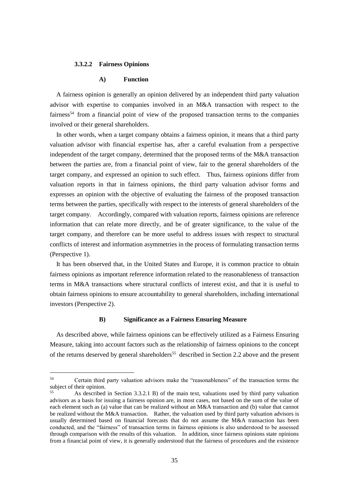#### **3.3.2.2 Fairness Opinions**

1

### **A) Function**

A fairness opinion is generally an opinion delivered by an independent third party valuation advisor with expertise to companies involved in an M&A transaction with respect to the fairness<sup>54</sup> from a financial point of view of the proposed transaction terms to the companies involved or their general shareholders.

In other words, when a target company obtains a fairness opinion, it means that a third party valuation advisor with financial expertise has, after a careful evaluation from a perspective independent of the target company, determined that the proposed terms of the M&A transaction between the parties are, from a financial point of view, fair to the general shareholders of the target company, and expressed an opinion to such effect. Thus, fairness opinions differ from valuation reports in that in fairness opinions, the third party valuation advisor forms and expresses an opinion with the objective of evaluating the fairness of the proposed transaction terms between the parties, specifically with respect to the interests of general shareholders of the target company. Accordingly, compared with valuation reports, fairness opinions are reference information that can relate more directly, and be of greater significance, to the value of the target company, and therefore can be more useful to address issues with respect to structural conflicts of interest and information asymmetries in the process of formulating transaction terms (Perspective 1).

It has been observed that, in the United States and Europe, it is common practice to obtain fairness opinions as important reference information related to the reasonableness of transaction terms in M&A transactions where structural conflicts of interest exist, and that it is useful to obtain fairness opinions to ensure accountability to general shareholders, including international investors (Perspective 2).

#### **B) Significance as a Fairness Ensuring Measure**

As described above, while fairness opinions can be effectively utilized as a Fairness Ensuring Measure, taking into account factors such as the relationship of fairness opinions to the concept of the returns deserved by general shareholders<sup>55</sup> described in Section 2.2 above and the present

<sup>54</sup> Certain third party valuation advisors make the "reasonableness" of the transaction terms the subject of their opinion.

<sup>55</sup> As described in Section 3.3.2.1 B) of the main text, valuations used by third party valuation advisors as a basis for issuing a fairness opinion are, in most cases, not based on the sum of the value of each element such as (a) value that can be realized without an M&A transaction and (b) value that cannot be realized without the M&A transaction. Rather, the valuation used by third party valuation advisors is usually determined based on financial forecasts that do not assume the M&A transaction has been conducted, and the "fairness" of transaction terms in fairness opinions is also understood to be assessed through comparison with the results of this valuation. In addition, since fairness opinions state opinions from a financial point of view, it is generally understood that the fairness of procedures and the existence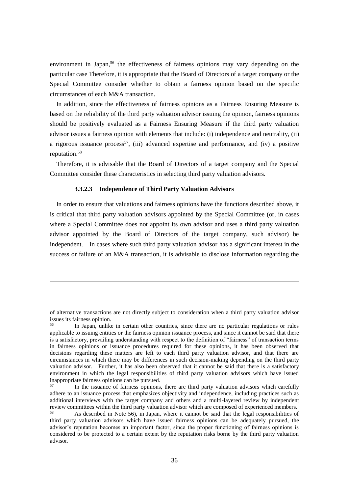environment in Japan,<sup>56</sup> the effectiveness of fairness opinions may vary depending on the particular case Therefore, it is appropriate that the Board of Directors of a target company or the Special Committee consider whether to obtain a fairness opinion based on the specific circumstances of each M&A transaction.

In addition, since the effectiveness of fairness opinions as a Fairness Ensuring Measure is based on the reliability of the third party valuation advisor issuing the opinion, fairness opinions should be positively evaluated as a Fairness Ensuring Measure if the third party valuation advisor issues a fairness opinion with elements that include: (i) independence and neutrality, (ii) a rigorous issuance process<sup>57</sup>, (iii) advanced expertise and performance, and (iv) a positive reputation.<sup>58</sup>

Therefore, it is advisable that the Board of Directors of a target company and the Special Committee consider these characteristics in selecting third party valuation advisors.

### **3.3.2.3 Independence of Third Party Valuation Advisors**

1

In order to ensure that valuations and fairness opinions have the functions described above, it is critical that third party valuation advisors appointed by the Special Committee (or, in cases where a Special Committee does not appoint its own advisor and uses a third party valuation advisor appointed by the Board of Directors of the target company, such advisor) be independent. In cases where such third party valuation advisor has a significant interest in the success or failure of an M&A transaction, it is advisable to disclose information regarding the

of alternative transactions are not directly subject to consideration when a third party valuation advisor issues its fairness opinion.<br>
In Japan unlike

In Japan, unlike in certain other countries, since there are no particular regulations or rules applicable to issuing entities or the fairness opinion issuance process, and since it cannot be said that there is a satisfactory, prevailing understanding with respect to the definition of "fairness" of transaction terms in fairness opinions or issuance procedures required for these opinions, it has been observed that decisions regarding these matters are left to each third party valuation advisor, and that there are circumstances in which there may be differences in such decision-making depending on the third party valuation advisor. Further, it has also been observed that it cannot be said that there is a satisfactory environment in which the legal responsibilities of third party valuation advisors which have issued inappropriate fairness opinions can be pursued.

<sup>57</sup> In the issuance of fairness opinions, there are third party valuation advisors which carefully adhere to an issuance process that emphasizes objectivity and independence, including practices such as additional interviews with the target company and others and a multi-layered review by independent review committees within the third party valuation advisor which are composed of experienced members.<br><sup>58</sup> As described in Note 56) in Japan, where it connot be said that the local reproposibilities of

As described in Note 56), in Japan, where it cannot be said that the legal responsibilities of third party valuation advisors which have issued fairness opinions can be adequately pursued, the advisor's reputation becomes an important factor, since the proper functioning of fairness opinions is considered to be protected to a certain extent by the reputation risks borne by the third party valuation advisor.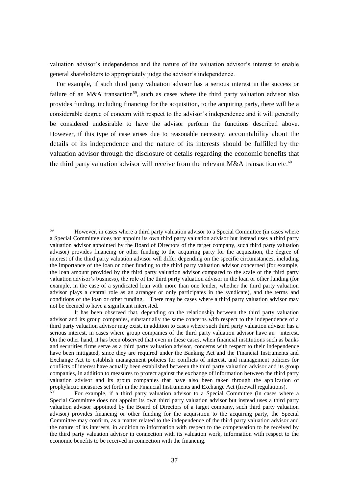valuation advisor's independence and the nature of the valuation advisor's interest to enable general shareholders to appropriately judge the advisor's independence.

For example, if such third party valuation advisor has a serious interest in the success or failure of an M&A transaction<sup>59</sup>, such as cases where the third party valuation advisor also provides funding, including financing for the acquisition, to the acquiring party, there will be a considerable degree of concern with respect to the advisor's independence and it will generally be considered undesirable to have the advisor perform the functions described above. However, if this type of case arises due to reasonable necessity, accountability about the details of its independence and the nature of its interests should be fulfilled by the valuation advisor through the disclosure of details regarding the economic benefits that the third party valuation advisor will receive from the relevant M&A transaction etc.<sup>60</sup>

<sup>&</sup>lt;sup>59</sup> However, in cases where a third party valuation advisor to a Special Committee (in cases where a Special Committee does not appoint its own third party valuation advisor but instead uses a third party valuation advisor appointed by the Board of Directors of the target company, such third party valuation advisor) provides financing or other funding to the acquiring party for the acquisition, the degree of interest of the third party valuation advisor will differ depending on the specific circumstances, including the importance of the loan or other funding to the third party valuation advisor concerned (for example, the loan amount provided by the third party valuation advisor compared to the scale of the third party valuation advisor's business), the role of the third party valuation advisor in the loan or other funding (for example, in the case of a syndicated loan with more than one lender, whether the third party valuation advisor plays a central role as an arranger or only participates in the syndicate), and the terms and conditions of the loan or other funding. There may be cases where a third party valuation advisor may not be deemed to have a significant interested.

It has been observed that, depending on the relationship between the third party valuation advisor and its group companies, substantially the same concerns with respect to the independence of a third party valuation advisor may exist, in addition to cases where such third party valuation advisor has a serious interest, in cases where group companies of the third party valuation advisor have an interest. On the other hand, it has been observed that even in these cases, when financial institutions such as banks and securities firms serve as a third party valuation advisor, concerns with respect to their independence have been mitigated, since they are required under the Banking Act and the Financial Instruments and Exchange Act to establish management policies for conflicts of interest, and management policies for conflicts of interest have actually been established between the third party valuation advisor and its group companies, in addition to measures to protect against the exchange of information between the third party valuation advisor and its group companies that have also been taken through the application of prophylactic measures set forth in the Financial Instruments and Exchange Act (firewall regulations).

<sup>60</sup> For example, if a third party valuation advisor to a Special Committee (in cases where a Special Committee does not appoint its own third party valuation advisor but instead uses a third party valuation advisor appointed by the Board of Directors of a target company, such third party valuation advisor) provides financing or other funding for the acquisition to the acquiring party, the Special Committee may confirm, as a matter related to the independence of the third party valuation advisor and the nature of its interests, in addition to information with respect to the compensation to be received by the third party valuation advisor in connection with its valuation work, information with respect to the economic benefits to be received in connection with the financing.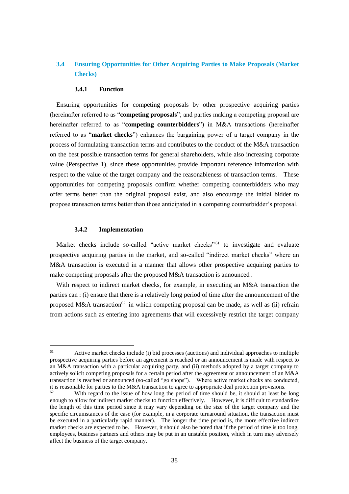# <span id="page-40-0"></span>**3.4 Ensuring Opportunities for Other Acquiring Parties to Make Proposals (Market Checks)**

### **3.4.1 Function**

<span id="page-40-1"></span>Ensuring opportunities for competing proposals by other prospective acquiring parties (hereinafter referred to as "**competing proposals**"; and parties making a competing proposal are hereinafter referred to as "**competing counterbidders**") in M&A transactions (hereinafter referred to as "**market checks**") enhances the bargaining power of a target company in the process of formulating transaction terms and contributes to the conduct of the M&A transaction on the best possible transaction terms for general shareholders, while also increasing corporate value (Perspective 1), since these opportunities provide important reference information with respect to the value of the target company and the reasonableness of transaction terms. These opportunities for competing proposals confirm whether competing counterbidders who may offer terms better than the original proposal exist, and also encourage the initial bidder to propose transaction terms better than those anticipated in a competing counterbidder's proposal.

### **3.4.2 Implementation**

1

<span id="page-40-2"></span>Market checks include so-called "active market checks"<sup>61</sup> to investigate and evaluate prospective acquiring parties in the market, and so-called "indirect market checks" where an M&A transaction is executed in a manner that allows other prospective acquiring parties to make competing proposals after the proposed M&A transaction is announced .

With respect to indirect market checks, for example, in executing an M&A transaction the parties can : (i) ensure that there is a relatively long period of time after the announcement of the proposed M&A transaction<sup>62</sup> in which competing proposal can be made, as well as (ii) refrain from actions such as entering into agreements that will excessively restrict the target company

<sup>61</sup> Active market checks include (i) bid processes (auctions) and individual approaches to multiple prospective acquiring parties before an agreement is reached or an announcement is made with respect to an M&A transaction with a particular acquiring party, and (ii) methods adopted by a target company to actively solicit competing proposals for a certain period after the agreement or announcement of an M&A transaction is reached or announced (so-called "go shops"). Where active market checks are conducted, it is reasonable for parties to the M&A transaction to agree to appropriate deal protection provisions.

With regard to the issue of how long the period of time should be, it should at least be long enough to allow for indirect market checks to function effectively. However, it is difficult to standardize the length of this time period since it may vary depending on the size of the target company and the specific circumstances of the case (for example, in a corporate turnaround situation, the transaction must be executed in a particularly rapid manner). The longer the time period is, the more effective indirect market checks are expected to be. However, it should also be noted that if the period of time is too long, employees, business partners and others may be put in an unstable position, which in turn may adversely affect the business of the target company.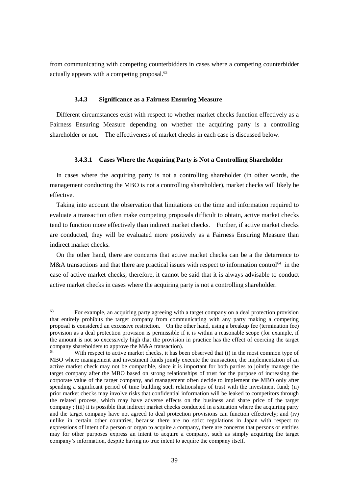from communicating with competing counterbidders in cases where a competing counterbidder actually appears with a competing proposal.<sup>63</sup>

# **3.4.3 Significance as a Fairness Ensuring Measure**

<span id="page-41-0"></span>Different circumstances exist with respect to whether market checks function effectively as a Fairness Ensuring Measure depending on whether the acquiring party is a controlling shareholder or not. The effectiveness of market checks in each case is discussed below.

### **3.4.3.1 Cases Where the Acquiring Party is Not a Controlling Shareholder**

In cases where the acquiring party is not a controlling shareholder (in other words, the management conducting the MBO is not a controlling shareholder), market checks will likely be effective.

Taking into account the observation that limitations on the time and information required to evaluate a transaction often make competing proposals difficult to obtain, active market checks tend to function more effectively than indirect market checks. Further, if active market checks are conducted, they will be evaluated more positively as a Fairness Ensuring Measure than indirect market checks.

On the other hand, there are concerns that active market checks can be a the deterrence to M&A transactions and that there are practical issues with respect to information control<sup>64</sup> in the case of active market checks; therefore, it cannot be said that it is always advisable to conduct active market checks in cases where the acquiring party is not a controlling shareholder.

 $63$  For example, an acquiring party agreeing with a target company on a deal protection provision that entirely prohibits the target company from communicating with any party making a competing proposal is considered an excessive restriction. On the other hand, using a breakup fee (termination fee) provision as a deal protection provision is permissible if it is within a reasonable scope (for example, if the amount is not so excessively high that the provision in practice has the effect of coercing the target company shareholders to approve the M&A transaction).

With respect to active market checks, it has been observed that (i) in the most common type of MBO where management and investment funds jointly execute the transaction, the implementation of an active market check may not be compatible, since it is important for both parties to jointly manage the target company after the MBO based on strong relationships of trust for the purpose of increasing the corporate value of the target company, and management often decide to implement the MBO only after spending a significant period of time building such relationships of trust with the investment fund; (ii) prior market checks may involve risks that confidential information will be leaked to competitors through the related process, which may have adverse effects on the business and share price of the target company ; (iii) it is possible that indirect market checks conducted in a situation where the acquiring party and the target company have not agreed to deal protection provisions can function effectively; and (iv) unlike in certain other countries, because there are no strict regulations in Japan with respect to expressions of intent of a person or organ to acquire a company, there are concerns that persons or entities may for other purposes express an intent to acquire a company, such as simply acquiring the target company's information, despite having no true intent to acquire the company itself.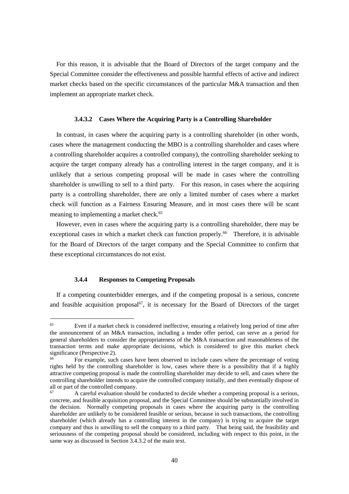For this reason, it is advisable that the Board of Directors of the target company and the Special Committee consider the effectiveness and possible harmful effects of active and indirect market checks based on the specific circumstances of the particular M&A transaction and then implement an appropriate market check.

### **3.4.3.2 Cases Where the Acquiring Party is a Controlling Shareholder**

In contrast, in cases where the acquiring party is a controlling shareholder (in other words, cases where the management conducting the MBO is a controlling shareholder and cases where a controlling shareholder acquires a controlled company), the controlling shareholder seeking to acquire the target company already has a controlling interest in the target company, and it is unlikely that a serious competing proposal will be made in cases where the controlling shareholder is unwilling to sell to a third party. For this reason, in cases where the acquiring party is a controlling shareholder, there are only a limited number of cases where a market check will function as a Fairness Ensuring Measure, and in most cases there will be scant meaning to implementing a market check.<sup>65</sup>

However, even in cases where the acquiring party is a controlling shareholder, there may be exceptional cases in which a market check can function properly.<sup>66</sup> Therefore, it is advisable for the Board of Directors of the target company and the Special Committee to confirm that these exceptional circumstances do not exist.

# **3.4.4 Responses to Competing Proposals**

1

<span id="page-42-0"></span>If a competing counterbidder emerges, and if the competing proposal is a serious, concrete and feasible acquisition proposal<sup>67</sup>, it is necessary for the Board of Directors of the target

<sup>65</sup> Even if a market check is considered ineffective, ensuring a relatively long period of time after the announcement of an M&A transaction, including a tender offer period, can serve as a period for general shareholders to consider the appropriateness of the M&A transaction and reasonableness of the transaction terms and make appropriate decisions, which is considered to give this market check significance (Perspective 2).

<sup>&</sup>lt;sup>66</sup> For example, such cases have been observed to include cases where the percentage of voting rights held by the controlling shareholder is low, cases where there is a possibility that if a highly attractive competing proposal is made the controlling shareholder may decide to sell, and cases where the controlling shareholder intends to acquire the controlled company initially, and then eventually dispose of all or part of the controlled company.

<sup>67</sup> A careful evaluation should be conducted to decide whether a competing proposal is a serious, concrete, and feasible acquisition proposal, and the Special Committee should be substantially involved in the decision. Normally competing proposals in cases where the acquiring party is the controlling shareholder are unlikely to be considered feasible or serious, because in such transactions, the controlling shareholder (which already has a controlling interest in the company) is trying to acquire the target company and thus is unwilling to sell the company to a third party. That being said, the feasibility and seriousness of the competing proposal should be considered, including with respect to this point, in the same way as discussed in Section 3.4.3.2 of the main text.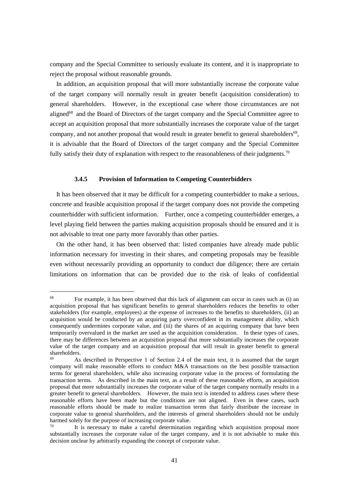company and the Special Committee to seriously evaluate its content, and it is inappropriate to reject the proposal without reasonable grounds.

In addition, an acquisition proposal that will more substantially increase the corporate value of the target company will normally result in greater benefit (acquisition consideration) to general shareholders. However, in the exceptional case where those circumstances are not aligned<sup>68</sup> and the Board of Directors of the target company and the Special Committee agree to accept an acquisition proposal that more substantially increases the corporate value of the target company, and not another proposal that would result in greater benefit to general shareholders<sup>69</sup>, it is advisable that the Board of Directors of the target company and the Special Committee fully satisfy their duty of explanation with respect to the reasonableness of their judgments.<sup>70</sup>

# **3.4.5 Provision of Information to Competing Counterbidders**

<span id="page-43-0"></span>It has been observed that it may be difficult for a competing counterbidder to make a serious, concrete and feasible acquisition proposal if the target company does not provide the competing counterbidder with sufficient information. Further, once a competing counterbidder emerges, a level playing field between the parties making acquisition proposals should be ensured and it is not advisable to treat one party more favorably than other parties.

On the other hand, it has been observed that: listed companies have already made public information necessary for investing in their shares, and competing proposals may be feasible even without necessarily providing an opportunity to conduct due diligence; there are certain limitations on information that can be provided due to the risk of leaks of confidential

<u>.</u>

 $68$  For example, it has been observed that this lack of alignment can occur in cases such as (i) an acquisition proposal that has significant benefits to general shareholders reduces the benefits to other stakeholders (for example, employees) at the expense of increases to the benefits to shareholders, (ii) an acquisition would be conducted by an acquiring party overconfident in its management ability, which consequently undermines corporate value, and (iii) the shares of an acquiring company that have been temporarily overvalued in the market are used as the acquisition consideration. In these types of cases, there may be differences between an acquisition proposal that more substantially increases the corporate value of the target company and an acquisition proposal that will result in greater benefit to general shareholders.

 $69$  As described in Perspective 1 of Section 2.4 of the main text, it is assumed that the target company will make reasonable efforts to conduct M&A transactions on the best possible transaction terms for general shareholders, while also increasing corporate value in the process of formulating the transaction terms. As described in the main text, as a result of these reasonable efforts, an acquisition proposal that more substantially increases the corporate value of the target company normally results in a greater benefit to general shareholders. However, the main text is intended to address cases where these reasonable efforts have been made but the conditions are not aligned. Even in these cases, such reasonable efforts should be made to realize transaction terms that fairly distribute the increase in corporate value to general shareholders, and the interests of general shareholders should not be unduly harmed solely for the purpose of increasing corporate value.

It is necessary to make a careful determination regarding which acquisition proposal more substantially increases the corporate value of the target company, and it is not advisable to make this decision unclear by arbitrarily expanding the concept of corporate value.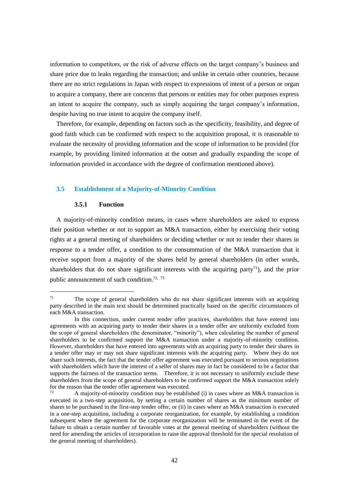information to competitors, or the risk of adverse effects on the target company's business and share price due to leaks regarding the transaction; and unlike in certain other countries, because there are no strict regulations in Japan with respect to expressions of intent of a person or organ to acquire a company, there are concerns that persons or entities may for other purposes express an intent to acquire the company, such as simply acquiring the target company's information, despite having no true intent to acquire the company itself.

Therefore, for example, depending on factors such as the specificity, feasibility, and degree of good faith which can be confirmed with respect to the acquisition proposal, it is reasonable to evaluate the necessity of providing information and the scope of information to be provided (for example, by providing limited information at the outset and gradually expanding the scope of information provided in accordance with the degree of confirmation mentioned above).

### <span id="page-44-1"></span><span id="page-44-0"></span>**3.5 Establishment of a Majority-of-Minority Condition**

### **3.5.1 Function**

<u>.</u>

A majority-of-minority condition means, in cases where shareholders are asked to express their position whether or not to support an M&A transaction, either by exercising their voting rights at a general meeting of shareholders or deciding whether or not to tender their shares in response to a tender offer, a condition to the consummation of the M&A transaction that it receive support from a majority of the shares held by general shareholders (in other words, shareholders that do not share significant interests with the acquiring party<sup>71</sup>), and the prior public announcement of such condition.<sup>72, 73</sup>

 $71$  The scope of general shareholders who do not share significant interests with an acquiring party described in the main text should be determined practically based on the specific circumstances of each M&A transaction.

In this connection, under current tender offer practices, shareholders that have entered into agreements with an acquiring party to tender their shares in a tender offer are uniformly excluded from the scope of general shareholders (the denominator, "minority"), when calculating the number of general shareholders to be confirmed support the M&A transaction under a majority-of-minority condition. However, shareholders that have entered into agreements with an acquiring party to tender their shares in a tender offer may or may not share significant interests with the acquiring party. Where they do not share such interests, the fact that the tender offer agreement was executed pursuant to serious negotiations with shareholders which have the interest of a seller of shares may in fact be considered to be a factor that supports the fairness of the transaction terms. Therefore, it is not necessary to uniformly exclude these shareholders from the scope of general shareholders to be confirmed support the M&A transaction solely for the reason that the tender offer agreement was executed.

A majority-of-minority condition may be established (i) in cases where an M&A transaction is executed in a two-step acquisition, by setting a certain number of shares as the minimum number of shares to be purchased in the first-step tender offer, or (ii) in cases where an M&A transaction is executed in a one-step acquisition, including a corporate reorganization, for example, by establishing a condition subsequent where the agreement for the corporate reorganization will be terminated in the event of the failure to obtain a certain number of favorable votes at the general meeting of shareholders (without the need for amending the articles of incorporation to raise the approval threshold for the special resolution of the general meeting of shareholders).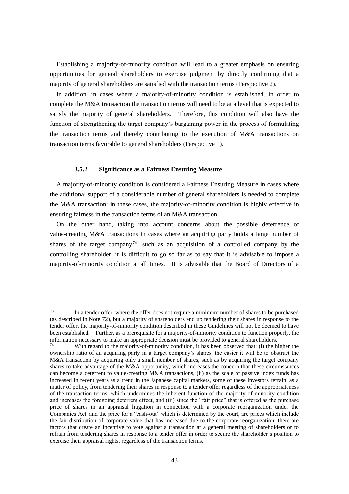Establishing a majority-of-minority condition will lead to a greater emphasis on ensuring opportunities for general shareholders to exercise judgment by directly confirming that a majority of general shareholders are satisfied with the transaction terms (Perspective 2).

In addition, in cases where a majority-of-minority condition is established, in order to complete the M&A transaction the transaction terms will need to be at a level that is expected to satisfy the majority of general shareholders. Therefore, this condition will also have the function of strengthening the target company's bargaining power in the process of formulating the transaction terms and thereby contributing to the execution of M&A transactions on transaction terms favorable to general shareholders (Perspective 1).

### **3.5.2 Significance as a Fairness Ensuring Measure**

1

<span id="page-45-0"></span>A majority-of-minority condition is considered a Fairness Ensuring Measure in cases where the additional support of a considerable number of general shareholders is needed to complete the M&A transaction; in these cases, the majority-of-minority condition is highly effective in ensuring fairness in the transaction terms of an M&A transaction.

On the other hand, taking into account concerns about the possible deterrence of value-creating M&A transactions in cases where an acquiring party holds a large number of shares of the target company<sup>74</sup>, such as an acquisition of a controlled company by the controlling shareholder, it is difficult to go so far as to say that it is advisable to impose a majority-of-minority condition at all times. It is advisable that the Board of Directors of a

 $73$  In a tender offer, where the offer does not require a minimum number of shares to be purchased (as described in Note 72), but a majority of shareholders end up tendering their shares in response to the tender offer, the majority-of-minority condition described in these Guidelines will not be deemed to have been established. Further, as a prerequisite for a majority-of-minority condition to function properly, the information necessary to make an appropriate decision must be provided to general shareholders.<br> $74$ <br> $^{12}$  With appeal to the maintain of minerity and iting it has been absented that (i) the h

With regard to the majority-of-minority condition, it has been observed that: (i) the higher the ownership ratio of an acquiring party in a target company's shares, the easier it will be to obstruct the M&A transaction by acquiring only a small number of shares, such as by acquiring the target company shares to take advantage of the M&A opportunity, which increases the concern that these circumstances can become a deterrent to value-creating M&A transactions, (ii) as the scale of passive index funds has increased in recent years as a trend in the Japanese capital markets, some of these investors refrain, as a matter of policy, from tendering their shares in response to a tender offer regardless of the appropriateness of the transaction terms, which undermines the inherent function of the majority-of-minority condition and increases the foregoing deterrent effect, and (iii) since the "fair price" that is offered as the purchase price of shares in an appraisal litigation in connection with a corporate reorganization under the Companies Act, and the price for a "cash-out" which is determined by the court, are prices which include the fair distribution of corporate value that has increased due to the corporate reorganization, there are factors that create an incentive to vote against a transaction at a general meeting of shareholders or to refrain from tendering shares in response to a tender offer in order to secure the shareholder's position to exercise their appraisal rights, regardless of the transaction terms.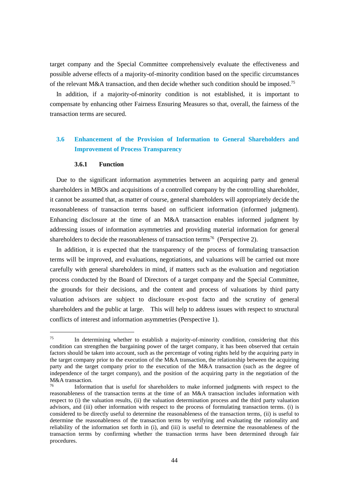target company and the Special Committee comprehensively evaluate the effectiveness and possible adverse effects of a majority-of-minority condition based on the specific circumstances of the relevant M&A transaction, and then decide whether such condition should be imposed.<sup>75</sup>

In addition, if a majority-of-minority condition is not established, it is important to compensate by enhancing other Fairness Ensuring Measures so that, overall, the fairness of the transaction terms are secured.

# <span id="page-46-0"></span>**3.6 Enhancement of the Provision of Information to General Shareholders and Improvement of Process Transparency**

### **3.6.1 Function**

<u>.</u>

<span id="page-46-1"></span>Due to the significant information asymmetries between an acquiring party and general shareholders in MBOs and acquisitions of a controlled company by the controlling shareholder, it cannot be assumed that, as matter of course, general shareholders will appropriately decide the reasonableness of transaction terms based on sufficient information (informed judgment). Enhancing disclosure at the time of an M&A transaction enables informed judgment by addressing issues of information asymmetries and providing material information for general shareholders to decide the reasonableness of transaction terms<sup>76</sup> (Perspective 2).

In addition, it is expected that the transparency of the process of formulating transaction terms will be improved, and evaluations, negotiations, and valuations will be carried out more carefully with general shareholders in mind, if matters such as the evaluation and negotiation process conducted by the Board of Directors of a target company and the Special Committee, the grounds for their decisions, and the content and process of valuations by third party valuation advisors are subject to disclosure ex-post facto and the scrutiny of general shareholders and the public at large. This will help to address issues with respect to structural conflicts of interest and information asymmetries (Perspective 1).

 $^{75}$  In determining whether to establish a majority-of-minority condition, considering that this condition can strengthen the bargaining power of the target company, it has been observed that certain factors should be taken into account, such as the percentage of voting rights held by the acquiring party in the target company prior to the execution of the M&A transaction, the relationship between the acquiring party and the target company prior to the execution of the M&A transaction (such as the degree of independence of the target company), and the position of the acquiring party in the negotiation of the M&A transaction.

Information that is useful for shareholders to make informed judgments with respect to the reasonableness of the transaction terms at the time of an M&A transaction includes information with respect to (i) the valuation results, (ii) the valuation determination process and the third party valuation advisors, and (iii) other information with respect to the process of formulating transaction terms. (i) is considered to be directly useful to determine the reasonableness of the transaction terms, (ii) is useful to determine the reasonableness of the transaction terms by verifying and evaluating the rationality and reliability of the information set forth in (i), and (iii) is useful to determine the reasonableness of the transaction terms by confirming whether the transaction terms have been determined through fair procedures.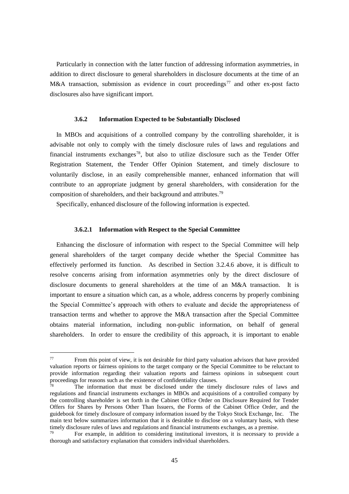Particularly in connection with the latter function of addressing information asymmetries, in addition to direct disclosure to general shareholders in disclosure documents at the time of an M&A transaction, submission as evidence in court proceedings<sup>77</sup> and other ex-post facto disclosures also have significant import.

# **3.6.2 Information Expected to be Substantially Disclosed**

<span id="page-47-0"></span>In MBOs and acquisitions of a controlled company by the controlling shareholder, it is advisable not only to comply with the timely disclosure rules of laws and regulations and financial instruments exchanges<sup>78</sup>, but also to utilize disclosure such as the Tender Offer Registration Statement, the Tender Offer Opinion Statement, and timely disclosure to voluntarily disclose, in an easily comprehensible manner, enhanced information that will contribute to an appropriate judgment by general shareholders, with consideration for the composition of shareholders, and their background and attributes.<sup>79</sup>

Specifically, enhanced disclosure of the following information is expected.

### **3.6.2.1 Information with Respect to the Special Committee**

Enhancing the disclosure of information with respect to the Special Committee will help general shareholders of the target company decide whether the Special Committee has effectively performed its function. As described in Section 3.2.4.6 above, it is difficult to resolve concerns arising from information asymmetries only by the direct disclosure of disclosure documents to general shareholders at the time of an M&A transaction. It is important to ensure a situation which can, as a whole, address concerns by properly combining the Special Committee's approach with others to evaluate and decide the appropriateness of transaction terms and whether to approve the M&A transaction after the Special Committee obtains material information, including non-public information, on behalf of general shareholders. In order to ensure the credibility of this approach, it is important to enable

<u>.</u>

 $77$  From this point of view, it is not desirable for third party valuation advisors that have provided valuation reports or fairness opinions to the target company or the Special Committee to be reluctant to provide information regarding their valuation reports and fairness opinions in subsequent court proceedings for reasons such as the existence of confidentiality clauses.<br>
The information of confidentiality clauses.

The information that must be disclosed under the timely disclosure rules of laws and regulations and financial instruments exchanges in MBOs and acquisitions of a controlled company by the controlling shareholder is set forth in the Cabinet Office Order on Disclosure Required for Tender Offers for Shares by Persons Other Than Issuers, the Forms of the Cabinet Office Order, and the guidebook for timely disclosure of company information issued by the Tokyo Stock Exchange, Inc. The main text below summarizes information that it is desirable to disclose on a voluntary basis, with these timely disclosure rules of laws and regulations and financial instruments exchanges, as a premise.

For example, in addition to considering institutional investors, it is necessary to provide a thorough and satisfactory explanation that considers individual shareholders.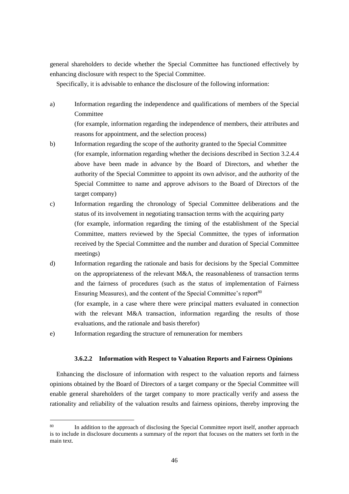general shareholders to decide whether the Special Committee has functioned effectively by enhancing disclosure with respect to the Special Committee.

Specifically, it is advisable to enhance the disclosure of the following information:

a) Information regarding the independence and qualifications of members of the Special Committee

(for example, information regarding the independence of members, their attributes and reasons for appointment, and the selection process)

- b) Information regarding the scope of the authority granted to the Special Committee (for example, information regarding whether the decisions described in Section 3.2.4.4 above have been made in advance by the Board of Directors, and whether the authority of the Special Committee to appoint its own advisor, and the authority of the Special Committee to name and approve advisors to the Board of Directors of the target company)
- c) Information regarding the chronology of Special Committee deliberations and the status of its involvement in negotiating transaction terms with the acquiring party (for example, information regarding the timing of the establishment of the Special Committee, matters reviewed by the Special Committee, the types of information received by the Special Committee and the number and duration of Special Committee meetings)
- d) Information regarding the rationale and basis for decisions by the Special Committee on the appropriateness of the relevant M&A, the reasonableness of transaction terms and the fairness of procedures (such as the status of implementation of Fairness Ensuring Measures), and the content of the Special Committee's report<sup>80</sup>

(for example, in a case where there were principal matters evaluated in connection with the relevant M&A transaction, information regarding the results of those evaluations, and the rationale and basis therefor)

e) Information regarding the structure of remuneration for members

<u>.</u>

# **3.6.2.2 Information with Respect to Valuation Reports and Fairness Opinions**

Enhancing the disclosure of information with respect to the valuation reports and fairness opinions obtained by the Board of Directors of a target company or the Special Committee will enable general shareholders of the target company to more practically verify and assess the rationality and reliability of the valuation results and fairness opinions, thereby improving the

<sup>&</sup>lt;sup>80</sup> In addition to the approach of disclosing the Special Committee report itself, another approach is to include in disclosure documents a summary of the report that focuses on the matters set forth in the main text.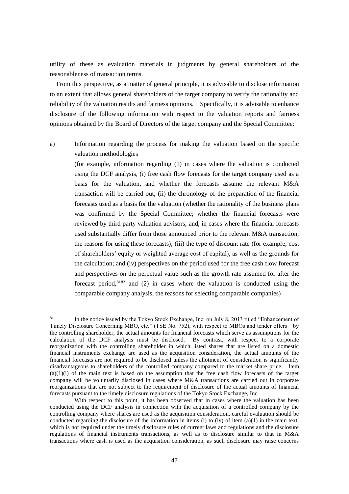utility of these as evaluation materials in judgments by general shareholders of the reasonableness of transaction terms.

From this perspective, as a matter of general principle, it is advisable to disclose information to an extent that allows general shareholders of the target company to verify the rationality and reliability of the valuation results and fairness opinions. Specifically, it is advisable to enhance disclosure of the following information with respect to the valuation reports and fairness opinions obtained by the Board of Directors of the target company and the Special Committee:

<u>.</u>

a) Information regarding the process for making the valuation based on the specific valuation methodologies

(for example, information regarding (1) in cases where the valuation is conducted using the DCF analysis, (i) free cash flow forecasts for the target company used as a basis for the valuation, and whether the forecasts assume the relevant M&A transaction will be carried out; (ii) the chronology of the preparation of the financial forecasts used as a basis for the valuation (whether the rationality of the business plans was confirmed by the Special Committee; whether the financial forecasts were reviewed by third party valuation advisors; and, in cases where the financial forecasts used substantially differ from those announced prior to the relevant M&A transaction, the reasons for using these forecasts); (iii) the type of discount rate (for example, cost of shareholders' equity or weighted average cost of capital), as well as the grounds for the calculation; and (iv) perspectives on the period used for the free cash flow forecast and perspectives on the perpetual value such as the growth rate assumed for after the forecast period,  $8182$  and (2) in cases where the valuation is conducted using the comparable company analysis, the reasons for selecting comparable companies)

<sup>&</sup>lt;sup>81</sup> In the notice issued by the Tokyo Stock Exchange, Inc. on July 8, 2013 titled "Enhancement of Timely Disclosure Concerning MBO, etc." (TSE No. 752), with respect to MBOs and tender offers by the controlling shareholder, the actual amounts for financial forecasts which serve as assumptions for the calculation of the DCF analysis must be disclosed. By contrast, with respect to a corporate reorganization with the controlling shareholder in which listed shares that are listed on a domestic financial instruments exchange are used as the acquisition consideration, the actual amounts of the financial forecasts are not required to be disclosed unless the allotment of consideration is significantly disadvantageous to shareholders of the controlled company compared to the market share price. Item  $(a)(1)(i)$  of the main text is based on the assumption that the free cash flow forecasts of the target company will be voluntarily disclosed in cases where M&A transactions are carried out in corporate reorganizations that are not subject to the requirement of disclosure of the actual amounts of financial forecasts pursuant to the timely disclosure regulations of the Tokyo Stock Exchange, Inc.

With respect to this point, it has been observed that in cases where the valuation has been conducted using the DCF analysis in connection with the acquisition of a controlled company by the controlling company where shares are used as the acquisition consideration, careful evaluation should be conducted regarding the disclosure of the information in items (i) to (iv) of item  $(a)(1)$  in the main text, which is not required under the timely disclosure rules of current laws and regulations and the disclosure regulations of financial instruments transactions, as well as to disclosure similar to that in M&A transactions where cash is used as the acquisition consideration, as such disclosure may raise concerns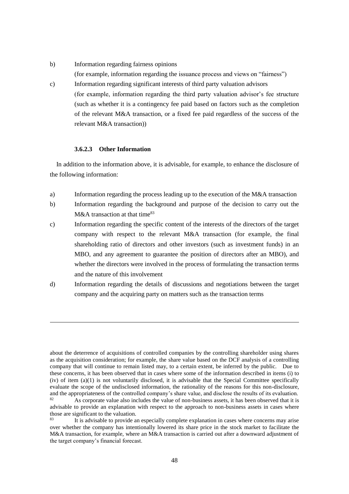- b) Information regarding fairness opinions (for example, information regarding the issuance process and views on "fairness")
- c) Information regarding significant interests of third party valuation advisors (for example, information regarding the third party valuation advisor's fee structure (such as whether it is a contingency fee paid based on factors such as the completion of the relevant M&A transaction, or a fixed fee paid regardless of the success of the relevant M&A transaction))

# **3.6.2.3 Other Information**

1

In addition to the information above, it is advisable, for example, to enhance the disclosure of the following information:

- a) Information regarding the process leading up to the execution of the M&A transaction
- b) Information regarding the background and purpose of the decision to carry out the  $M&A$  transaction at that time<sup>83</sup>
- c) Information regarding the specific content of the interests of the directors of the target company with respect to the relevant M&A transaction (for example, the final shareholding ratio of directors and other investors (such as investment funds) in an MBO, and any agreement to guarantee the position of directors after an MBO), and whether the directors were involved in the process of formulating the transaction terms and the nature of this involvement
- d) Information regarding the details of discussions and negotiations between the target company and the acquiring party on matters such as the transaction terms

about the deterrence of acquisitions of controlled companies by the controlling shareholder using shares as the acquisition consideration; for example, the share value based on the DCF analysis of a controlling company that will continue to remain listed may, to a certain extent, be inferred by the public. Due to these concerns, it has been observed that in cases where some of the information described in items (i) to (iv) of item (a)(1) is not voluntarily disclosed, it is advisable that the Special Committee specifically evaluate the scope of the undisclosed information, the rationality of the reasons for this non-disclosure, and the appropriateness of the controlled company's share value, and disclose the results of its evaluation.  $82 \text{ A}s$  corporate value also includes the value of non-business assets, it has been observed that it is advisable to provide an explanation with respect to the approach to non-business assets in cases where those are significant to the valuation.

<sup>&</sup>lt;sup>83</sup> It is advisable to provide an especially complete explanation in cases where concerns may arise over whether the company has intentionally lowered its share price in the stock market to facilitate the M&A transaction, for example, where an M&A transaction is carried out after a downward adjustment of the target company's financial forecast.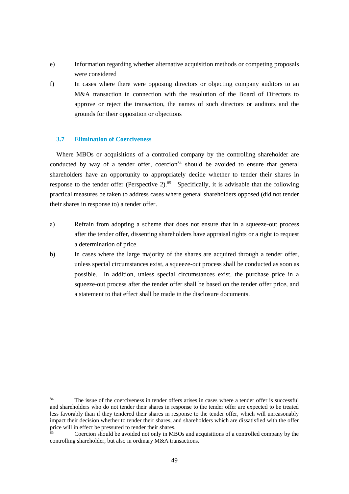- e) Information regarding whether alternative acquisition methods or competing proposals were considered
- f) In cases where there were opposing directors or objecting company auditors to an M&A transaction in connection with the resolution of the Board of Directors to approve or reject the transaction, the names of such directors or auditors and the grounds for their opposition or objections

# <span id="page-51-0"></span>**3.7 Elimination of Coerciveness**

<u>.</u>

Where MBOs or acquisitions of a controlled company by the controlling shareholder are conducted by way of a tender offer, coercion<sup>84</sup> should be avoided to ensure that general shareholders have an opportunity to appropriately decide whether to tender their shares in response to the tender offer (Perspective 2). $85$  Specifically, it is advisable that the following practical measures be taken to address cases where general shareholders opposed (did not tender their shares in response to) a tender offer.

- a) Refrain from adopting a scheme that does not ensure that in a squeeze-out process after the tender offer, dissenting shareholders have appraisal rights or a right to request a determination of price.
- b) In cases where the large majority of the shares are acquired through a tender offer, unless special circumstances exist, a squeeze-out process shall be conducted as soon as possible. In addition, unless special circumstances exist, the purchase price in a squeeze-out process after the tender offer shall be based on the tender offer price, and a statement to that effect shall be made in the disclosure documents.

<sup>&</sup>lt;sup>84</sup> The issue of the coerciveness in tender offers arises in cases where a tender offer is successful and shareholders who do not tender their shares in response to the tender offer are expected to be treated less favorably than if they tendered their shares in response to the tender offer, which will unreasonably impact their decision whether to tender their shares, and shareholders which are dissatisfied with the offer price will in effect be pressured to tender their shares.

<sup>85</sup> Coercion should be avoided not only in MBOs and acquisitions of a controlled company by the controlling shareholder, but also in ordinary M&A transactions.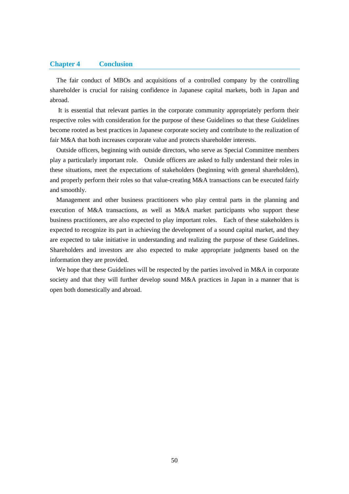#### <span id="page-52-0"></span>**Chapter 4 Conclusion**

The fair conduct of MBOs and acquisitions of a controlled company by the controlling shareholder is crucial for raising confidence in Japanese capital markets, both in Japan and abroad.

It is essential that relevant parties in the corporate community appropriately perform their respective roles with consideration for the purpose of these Guidelines so that these Guidelines become rooted as best practices in Japanese corporate society and contribute to the realization of fair M&A that both increases corporate value and protects shareholder interests.

Outside officers, beginning with outside directors, who serve as Special Committee members play a particularly important role. Outside officers are asked to fully understand their roles in these situations, meet the expectations of stakeholders (beginning with general shareholders), and properly perform their roles so that value-creating M&A transactions can be executed fairly and smoothly.

Management and other business practitioners who play central parts in the planning and execution of M&A transactions, as well as M&A market participants who support these business practitioners, are also expected to play important roles. Each of these stakeholders is expected to recognize its part in achieving the development of a sound capital market, and they are expected to take initiative in understanding and realizing the purpose of these Guidelines. Shareholders and investors are also expected to make appropriate judgments based on the information they are provided.

We hope that these Guidelines will be respected by the parties involved in M&A in corporate society and that they will further develop sound M&A practices in Japan in a manner that is open both domestically and abroad.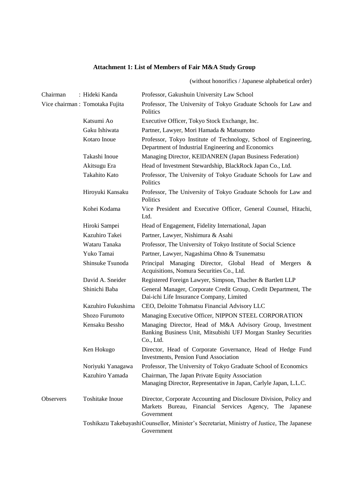# **Attachment 1: List of Members of Fair M&A Study Group**

(without honorifics / Japanese alphabetical order)

<span id="page-53-0"></span>

| Chairman         | : Hideki Kanda                  | Professor, Gakushuin University Law School                                                                                                  |
|------------------|---------------------------------|---------------------------------------------------------------------------------------------------------------------------------------------|
|                  | Vice chairman : Tomotaka Fujita | Professor, The University of Tokyo Graduate Schools for Law and<br>Politics                                                                 |
|                  | Katsumi Ao                      | Executive Officer, Tokyo Stock Exchange, Inc.                                                                                               |
|                  | Gaku Ishiwata                   | Partner, Lawyer, Mori Hamada & Matsumoto                                                                                                    |
|                  | Kotaro Inoue                    | Professor, Tokyo Institute of Technology, School of Engineering,<br>Department of Industrial Engineering and Economics                      |
|                  | Takashi Inoue                   | Managing Director, KEIDANREN (Japan Business Federation)                                                                                    |
|                  | Akitsugu Era                    | Head of Investment Stewardship, BlackRock Japan Co., Ltd.                                                                                   |
|                  | Takahito Kato                   | Professor, The University of Tokyo Graduate Schools for Law and<br>Politics                                                                 |
|                  | Hiroyuki Kansaku                | Professor, The University of Tokyo Graduate Schools for Law and<br>Politics                                                                 |
|                  | Kohei Kodama                    | Vice President and Executive Officer, General Counsel, Hitachi,<br>Ltd.                                                                     |
|                  | Hiroki Sampei                   | Head of Engagement, Fidelity International, Japan                                                                                           |
|                  | Kazuhiro Takei                  | Partner, Lawyer, Nishimura & Asahi                                                                                                          |
|                  | Wataru Tanaka                   | Professor, The University of Tokyo Institute of Social Science                                                                              |
|                  | Yuko Tamai                      | Partner, Lawyer, Nagashima Ohno & Tsunematsu                                                                                                |
|                  | Shinsuke Tsunoda                | Principal Managing Director, Global Head of Mergers<br>&<br>Acquisitions, Nomura Securities Co., Ltd.                                       |
|                  | David A. Sneider                | Registered Foreign Lawyer, Simpson, Thacher & Bartlett LLP                                                                                  |
|                  | Shinichi Baba                   | General Manager, Corporate Credit Group, Credit Department, The<br>Dai-ichi Life Insurance Company, Limited                                 |
|                  | Kazuhiro Fukushima              | CEO, Deloitte Tohmatsu Financial Advisory LLC                                                                                               |
|                  | Shozo Furumoto                  | Managing Executive Officer, NIPPON STEEL CORPORATION                                                                                        |
|                  | Kensaku Bessho                  | Managing Director, Head of M&A Advisory Group, Investment<br>Banking Business Unit, Mitsubishi UFJ Morgan Stanley Securities<br>Co., Ltd.   |
|                  | Ken Hokugo                      | Director, Head of Corporate Governance, Head of Hedge Fund<br><b>Investments, Pension Fund Association</b>                                  |
|                  | Noriyuki Yanagawa               | Professor, The University of Tokyo Graduate School of Economics                                                                             |
|                  | Kazuhiro Yamada                 | Chairman, The Japan Private Equity Association<br>Managing Director, Representative in Japan, Carlyle Japan, L.L.C.                         |
| <b>Observers</b> | <b>Toshitake Inoue</b>          | Director, Corporate Accounting and Disclosure Division, Policy and<br>Markets Bureau, Financial Services Agency, The Japanese<br>Government |
|                  |                                 | Toshikazu Takebayashi Counsellor, Minister's Secretariat, Ministry of Justice, The Japanese<br>Government                                   |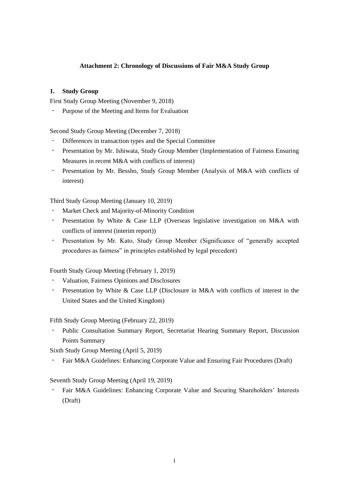# **Attachment 2: Chronology of Discussions of Fair M&A Study Group**

# <span id="page-54-0"></span>**1. Study Group**

First Study Group Meeting (November 9, 2018)

・ Purpose of the Meeting and Items for Evaluation

Second Study Group Meeting (December 7, 2018)

- Differences in transaction types and the Special Committee
- ・ Presentation by Mr. Ishiwata, Study Group Member (Implementation of Fairness Ensuring Measures in recent M&A with conflicts of interest)
- ・ Presentation by Mr. Bessho, Study Group Member (Analysis of M&A with conflicts of interest)

Third Study Group Meeting (January 10, 2019)

- Market Check and Majority-of-Minority Condition
- ・ Presentation by White & Case LLP (Overseas legislative investigation on M&A with conflicts of interest (interim report))
- ・ Presentation by Mr. Kato, Study Group Member (Significance of "generally accepted procedures as fairness" in principles established by legal precedent)

Fourth Study Group Meeting (February 1, 2019)

- Valuation, Fairness Opinions and Disclosures
- Presentation by White & Case LLP (Disclosure in M&A with conflicts of interest in the United States and the United Kingdom)

Fifth Study Group Meeting (February 22, 2019)

Public Consultation Summary Report, Secretariat Hearing Summary Report, Discussion Points Summary

Sixth Study Group Meeting (April 5, 2019)

・ Fair M&A Guidelines: Enhancing Corporate Value and Ensuring Fair Procedures (Draft)

Seventh Study Group Meeting (April 19, 2019)

Fair M&A Guidelines: Enhancing Corporate Value and Securing Shareholders' Interests (Draft)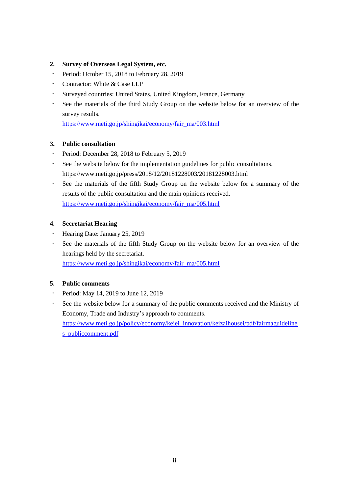# **2. Survey of Overseas Legal System, etc.**

- ・ Period: October 15, 2018 to February 28, 2019
- ・ Contractor: White & Case LLP
- ・ Surveyed countries: United States, United Kingdom, France, Germany
- ・ See the materials of the third Study Group on the website below for an overview of the survey results.

[https://www.meti.go.jp/shingikai/economy/fair\\_ma/003.html](https://www.meti.go.jp/shingikai/economy/fair_ma/003.html)

# **3. Public consultation**

- ・ Period: December 28, 2018 to February 5, 2019
- ・ See the website below for the implementation guidelines for public consultations. <https://www.meti.go.jp/press/2018/12/20181228003/20181228003.html>
- ・ See the materials of the fifth Study Group on the website below for a summary of the results of the public consultation and the main opinions received. [https://www.meti.go.jp/shingikai/economy/fair\\_ma/005.html](https://www.meti.go.jp/shingikai/economy/fair_ma/005.html)

# **4. Secretariat Hearing**

- ・ Hearing Date: January 25, 2019
- ・ See the materials of the fifth Study Group on the website below for an overview of the hearings held by the secretariat.

[https://www.meti.go.jp/shingikai/economy/fair\\_ma/005.html](https://www.meti.go.jp/shingikai/economy/fair_ma/005.html)

# **5. Public comments**

- ・ Period: May 14, 2019 to June 12, 2019
- ・ See the website below for a summary of the public comments received and the Ministry of Economy, Trade and Industry's approach to comments. [https://www.meti.go.jp/policy/economy/keiei\\_innovation/keizaihousei/pdf/fairmaguideline](https://www.meti.go.jp/policy/economy/keiei_innovation/keizaihousei/pdf/fairmaguidelines_publiccomment.pdf) [s\\_publiccomment.pdf](https://www.meti.go.jp/policy/economy/keiei_innovation/keizaihousei/pdf/fairmaguidelines_publiccomment.pdf)